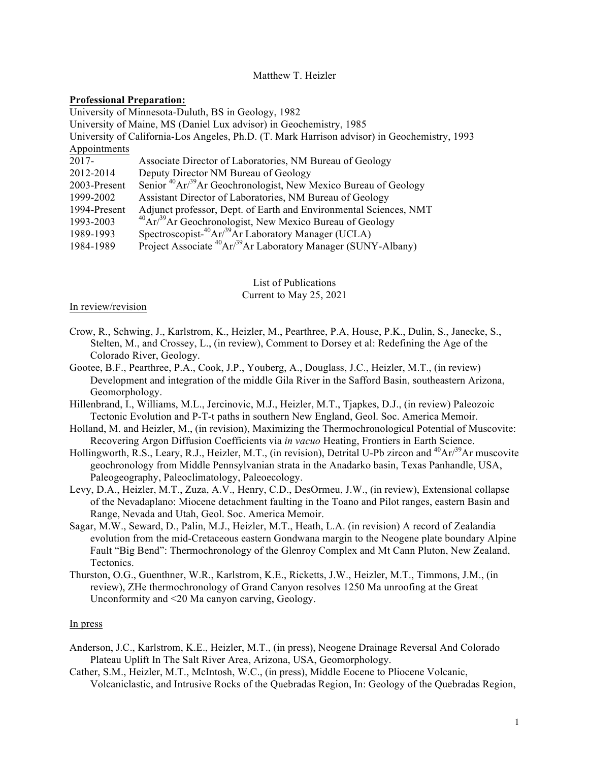## Matthew T. Heizler

#### **Professional Preparation:**

University of Minnesota-Duluth, BS in Geology, 1982 University of Maine, MS (Daniel Lux advisor) in Geochemistry, 1985 University of California-Los Angeles, Ph.D. (T. Mark Harrison advisor) in Geochemistry, 1993 Appointments 2017- Associate Director of Laboratories, NM Bureau of Geology 2012-2014 Deputy Director NM Bureau of Geology 2003-Present Senior  ${}^{40}Ar^{39}Ar$  Geochronologist, New Mexico Bureau of Geology 1999-2002 Assistant Director of Laboratories, NM Bureau of Geology 1994-Present Adjunct professor, Dept. of Earth and Environmental Sciences, NMT 1993-2003  $^{40}Ar/^{39}Ar$  Geochronologist, New Mexico Bureau of Geology 1989-1993 Spectroscopist-<sup>40</sup>Ar/<sup>39</sup>Ar Laboratory Manager (UCLA) 1984-1989 Project Associate 40Ar/39Ar Laboratory Manager (SUNY-Albany)

> List of Publications Current to May 25, 2021

#### In review/revision

- Crow, R., Schwing, J., Karlstrom, K., Heizler, M., Pearthree, P.A, House, P.K., Dulin, S., Janecke, S., Stelten, M., and Crossey, L., (in review), Comment to Dorsey et al: Redefining the Age of the Colorado River, Geology.
- Gootee, B.F., Pearthree, P.A., Cook, J.P., Youberg, A., Douglass, J.C., Heizler, M.T., (in review) Development and integration of the middle Gila River in the Safford Basin, southeastern Arizona, Geomorphology.
- Hillenbrand, I., Williams, M.L., Jercinovic, M.J., Heizler, M.T., Tjapkes, D.J., (in review) Paleozoic Tectonic Evolution and P-T-t paths in southern New England, Geol. Soc. America Memoir.
- Holland, M. and Heizler, M., (in revision), Maximizing the Thermochronological Potential of Muscovite: Recovering Argon Diffusion Coefficients via *in vacuo* Heating, Frontiers in Earth Science.
- Hollingworth, R.S., Leary, R.J., Heizler, M.T., (in revision), Detrital U-Pb zircon and <sup>40</sup>Ar/<sup>39</sup>Ar muscovite geochronology from Middle Pennsylvanian strata in the Anadarko basin, Texas Panhandle, USA, Paleogeography, Paleoclimatology, Paleoecology.
- Levy, D.A., Heizler, M.T., Zuza, A.V., Henry, C.D., DesOrmeu, J.W., (in review), Extensional collapse of the Nevadaplano: Miocene detachment faulting in the Toano and Pilot ranges, eastern Basin and Range, Nevada and Utah, Geol. Soc. America Memoir.
- Sagar, M.W., Seward, D., Palin, M.J., Heizler, M.T., Heath, L.A. (in revision) A record of Zealandia evolution from the mid-Cretaceous eastern Gondwana margin to the Neogene plate boundary Alpine Fault "Big Bend": Thermochronology of the Glenroy Complex and Mt Cann Pluton, New Zealand, Tectonics.
- Thurston, O.G., Guenthner, W.R., Karlstrom, K.E., Ricketts, J.W., Heizler, M.T., Timmons, J.M., (in review), ZHe thermochronology of Grand Canyon resolves 1250 Ma unroofing at the Great Unconformity and <20 Ma canyon carving, Geology.

#### In press

- Anderson, J.C., Karlstrom, K.E., Heizler, M.T., (in press), Neogene Drainage Reversal And Colorado Plateau Uplift In The Salt River Area, Arizona, USA, Geomorphology.
- Cather, S.M., Heizler, M.T., McIntosh, W.C., (in press), Middle Eocene to Pliocene Volcanic, Volcaniclastic, and Intrusive Rocks of the Quebradas Region, In: Geology of the Quebradas Region,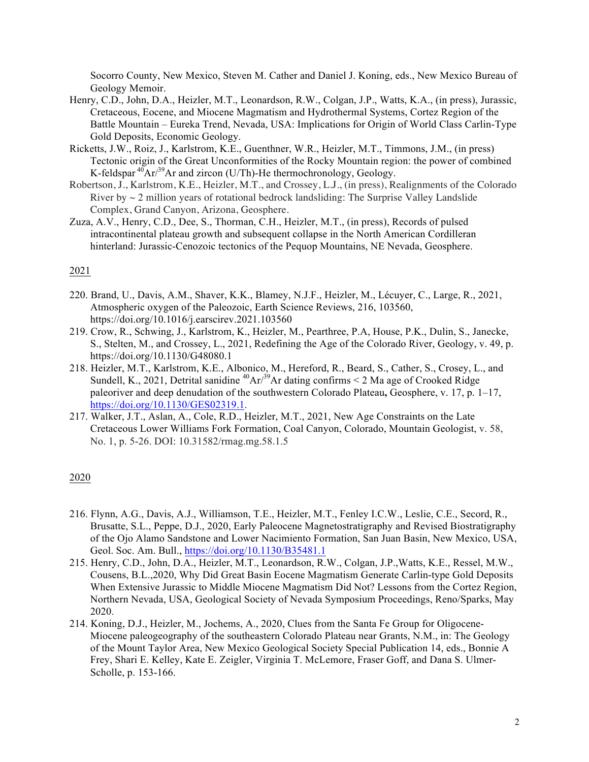Socorro County, New Mexico, Steven M. Cather and Daniel J. Koning, eds., New Mexico Bureau of Geology Memoir.

- Henry, C.D., John, D.A., Heizler, M.T., Leonardson, R.W., Colgan, J.P., Watts, K.A., (in press), Jurassic, Cretaceous, Eocene, and Miocene Magmatism and Hydrothermal Systems, Cortez Region of the Battle Mountain – Eureka Trend, Nevada, USA: Implications for Origin of World Class Carlin-Type Gold Deposits, Economic Geology.
- Ricketts, J.W., Roiz, J., Karlstrom, K.E., Guenthner, W.R., Heizler, M.T., Timmons, J.M., (in press) Tectonic origin of the Great Unconformities of the Rocky Mountain region: the power of combined K-feldspar  $\sqrt[40]{4}$ Ar/<sup>39</sup>Ar and zircon (U/Th)-He thermochronology, Geology.
- Robertson, J., Karlstrom, K.E., Heizler, M.T., and Crossey, L.J., (in press), Realignments of the Colorado River by  $\sim$  2 million years of rotational bedrock landsliding: The Surprise Valley Landslide Complex, Grand Canyon, Arizona, Geosphere.
- Zuza, A.V., Henry, C.D., Dee, S., Thorman, C.H., Heizler, M.T., (in press), Records of pulsed intracontinental plateau growth and subsequent collapse in the North American Cordilleran hinterland: Jurassic-Cenozoic tectonics of the Pequop Mountains, NE Nevada, Geosphere.

## 2021

- 220. Brand, U., Davis, A.M., Shaver, K.K., Blamey, N.J.F., Heizler, M., Lécuyer, C., Large, R., 2021, Atmospheric oxygen of the Paleozoic, Earth Science Reviews, 216, 103560, https://doi.org/10.1016/j.earscirev.2021.103560
- 219. Crow, R., Schwing, J., Karlstrom, K., Heizler, M., Pearthree, P.A, House, P.K., Dulin, S., Janecke, S., Stelten, M., and Crossey, L., 2021, Redefining the Age of the Colorado River, Geology, v. 49, p. https://doi.org/10.1130/G48080.1
- 218. Heizler, M.T., Karlstrom, K.E., Albonico, M., Hereford, R., Beard, S., Cather, S., Crosey, L., and Sundell, K., 2021, Detrital sanidine <sup>40</sup>Ar/<sup>39</sup>Ar dating confirms < 2 Ma age of Crooked Ridge paleoriver and deep denudation of the southwestern Colorado Plateau**,** Geosphere, v. 17, p. 1–17, https://doi.org/10.1130/GES02319.1.
- 217. Walker, J.T., Aslan, A., Cole, R.D., Heizler, M.T., 2021, New Age Constraints on the Late Cretaceous Lower Williams Fork Formation, Coal Canyon, Colorado, Mountain Geologist, v. 58, No. 1, p. 5-26. DOI: 10.31582/rmag.mg.58.1.5

- 216. Flynn, A.G., Davis, A.J., Williamson, T.E., Heizler, M.T., Fenley I.C.W., Leslie, C.E., Secord, R., Brusatte, S.L., Peppe, D.J., 2020, Early Paleocene Magnetostratigraphy and Revised Biostratigraphy of the Ojo Alamo Sandstone and Lower Nacimiento Formation, San Juan Basin, New Mexico, USA, Geol. Soc. Am. Bull., https://doi.org/10.1130/B35481.1
- 215. Henry, C.D., John, D.A., Heizler, M.T., Leonardson, R.W., Colgan, J.P.,Watts, K.E., Ressel, M.W., Cousens, B.L.,2020, Why Did Great Basin Eocene Magmatism Generate Carlin-type Gold Deposits When Extensive Jurassic to Middle Miocene Magmatism Did Not? Lessons from the Cortez Region, Northern Nevada, USA, Geological Society of Nevada Symposium Proceedings, Reno/Sparks, May 2020.
- 214. Koning, D.J., Heizler, M., Jochems, A., 2020, Clues from the Santa Fe Group for Oligocene-Miocene paleogeography of the southeastern Colorado Plateau near Grants, N.M., in: The Geology of the Mount Taylor Area, New Mexico Geological Society Special Publication 14, eds., Bonnie A Frey, Shari E. Kelley, Kate E. Zeigler, Virginia T. McLemore, Fraser Goff, and Dana S. Ulmer-Scholle, p. 153-166.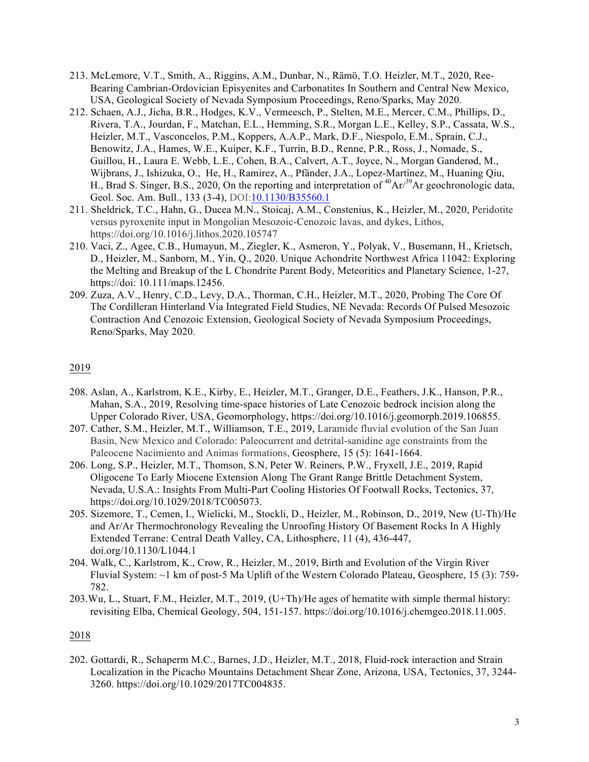- 213. McLemore, V.T., Smith, A., Riggins, A.M., Dunbar, N., Rämö, T.O. Heizler, M.T., 2020, Ree-Bearing Cambrian-Ordovician Episyenites and Carbonatites In Southern and Central New Mexico, USA, Geological Society of Nevada Symposium Proceedings, Reno/Sparks, May 2020.
- 212. Schaen, A.J., Jicha, B.R., Hodges, K.V., Vermeesch, P., Stelten, M.E., Mercer, C.M., Phillips, D., Rivera, T.A., Jourdan, F., Matchan, E.L., Hemming, S.R., Morgan L.E., Kelley, S.P., Cassata, W.S., Heizler, M.T., Vasconcelos, P.M., Koppers, A.A.P., Mark, D.F., Niespolo, E.M., Sprain, C.J., Benowitz, J.A., Hames, W.E., Kuiper, K.F., Turrin, B.D., Renne, P.R., Ross, J., Nomade, S., Guillou, H., Laura E. Webb, L.E., Cohen, B.A., Calvert, A.T., Joyce, N., Morgan Ganderød, M., Wijbrans, J., Ishizuka, O., He, H., Ramirez, A., Pfänder, J.A., Lopez-Martínez, M., Huaning Qiu, H., Brad S. Singer, B.S., 2020, On the reporting and interpretation of  ${}^{40}Ar/{}^{39}Ar$  geochronologic data, Geol. Soc. Am. Bull., 133 (3-4), DOI:10.1130/B35560.1
- 211. Sheldrick, T.C., Hahn, G., Ducea M.N., Stoicaj, A.M., Constenius, K., Heizler, M., 2020, Peridotite versus pyroxenite input in Mongolian Mesozoic-Cenozoic lavas, and dykes, Lithos, https://doi.org/10.1016/j.lithos.2020.105747
- 210. Vaci, Z., Agee, C.B., Humayun, M., Ziegler, K., Asmeron, Y., Polyak, V., Busemann, H., Krietsch, D., Heizler, M., Sanborn, M., Yin, Q., 2020. Unique Achondrite Northwest Africa 11042: Exploring the Melting and Breakup of the L Chondrite Parent Body, Meteoritics and Planetary Science, 1-27, https://doi: 10.111/maps.12456.
- 209. Zuza, A.V., Henry, C.D., Levy, D.A., Thorman, C.H., Heizler, M.T., 2020, Probing The Core Of The Cordilleran Hinterland Via Integrated Field Studies, NE Nevada: Records Of Pulsed Mesozoic Contraction And Cenozoic Extension, Geological Society of Nevada Symposium Proceedings, Reno/Sparks, May 2020.

- 208. Aslan, A., Karlstrom, K.E., Kirby, E., Heizler, M.T., Granger, D.E., Feathers, J.K., Hanson, P.R., Mahan, S.A., 2019, Resolving time-space histories of Late Cenozoic bedrock incision along the Upper Colorado River, USA, Geomorphology, https://doi.org/10.1016/j.geomorph.2019.106855.
- 207. Cather, S.M., Heizler, M.T., Williamson, T.E., 2019, Laramide fluvial evolution of the San Juan Basin, New Mexico and Colorado: Paleocurrent and detrital-sanidine age constraints from the Paleocene Nacimiento and Animas formations, Geosphere, 15 (5): 1641-1664.
- 206. Long, S.P., Heizler, M.T., Thomson, S.N, Peter W. Reiners, P.W., Fryxell, J.E., 2019, Rapid Oligocene To Early Miocene Extension Along The Grant Range Brittle Detachment System, Nevada, U.S.A.: Insights From Multi-Part Cooling Histories Of Footwall Rocks, Tectonics, 37, https://doi.org/10.1029/2018/TC005073.
- 205. Sizemore, T., Cemen, I., Wielicki, M., Stockli, D., Heizler, M., Robinson, D., 2019, New (U-Th)/He and Ar/Ar Thermochronology Revealing the Unroofing History Of Basement Rocks In A Highly Extended Terrane: Central Death Valley, CA, Lithosphere, 11 (4), 436-447, doi.org/10.1130/L1044.1
- 204. Walk, C., Karlstrom, K., Crow, R., Heizler, M., 2019, Birth and Evolution of the Virgin River Fluvial System: ~1 km of post-5 Ma Uplift of the Western Colorado Plateau, Geosphere, 15 (3): 759- 782.
- 203.Wu, L., Stuart, F.M., Heizler, M.T., 2019, (U+Th)/He ages of hematite with simple thermal history: revisiting Elba, Chemical Geology, 504, 151-157. https://doi.org/10.1016/j.chemgeo.2018.11.005.

## 2018

202. Gottardi, R., Schaperm M.C., Barnes, J.D., Heizler, M.T., 2018, Fluid-rock interaction and Strain Localization in the Picacho Mountains Detachment Shear Zone, Arizona, USA, Tectonics, 37, 3244- 3260. https://doi.org/10.1029/2017TC004835.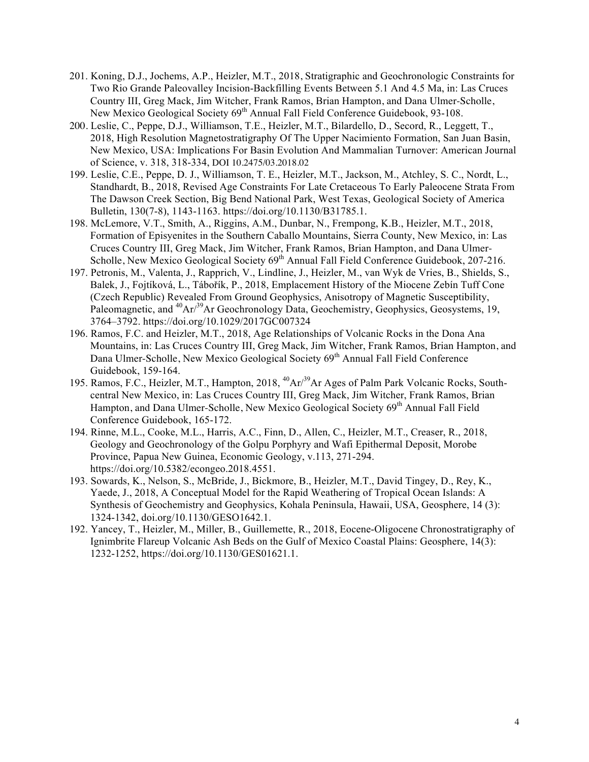- 201. Koning, D.J., Jochems, A.P., Heizler, M.T., 2018, Stratigraphic and Geochronologic Constraints for Two Rio Grande Paleovalley Incision-Backfilling Events Between 5.1 And 4.5 Ma, in: Las Cruces Country III, Greg Mack, Jim Witcher, Frank Ramos, Brian Hampton, and Dana Ulmer-Scholle, New Mexico Geological Society 69<sup>th</sup> Annual Fall Field Conference Guidebook, 93-108.
- 200. Leslie, C., Peppe, D.J., Williamson, T.E., Heizler, M.T., Bilardello, D., Secord, R., Leggett, T., 2018, High Resolution Magnetostratigraphy Of The Upper Nacimiento Formation, San Juan Basin, New Mexico, USA: Implications For Basin Evolution And Mammalian Turnover: American Journal of Science, v. 318, 318-334, DOI 10.2475/03.2018.02
- 199. Leslie, C.E., Peppe, D. J., Williamson, T. E., Heizler, M.T., Jackson, M., Atchley, S. C., Nordt, L., Standhardt, B., 2018, Revised Age Constraints For Late Cretaceous To Early Paleocene Strata From The Dawson Creek Section, Big Bend National Park, West Texas, Geological Society of America Bulletin, 130(7-8), 1143-1163. https://doi.org/10.1130/B31785.1.
- 198. McLemore, V.T., Smith, A., Riggins, A.M., Dunbar, N., Frempong, K.B., Heizler, M.T., 2018, Formation of Episyenites in the Southern Caballo Mountains, Sierra County, New Mexico, in: Las Cruces Country III, Greg Mack, Jim Witcher, Frank Ramos, Brian Hampton, and Dana Ulmer-Scholle, New Mexico Geological Society 69<sup>th</sup> Annual Fall Field Conference Guidebook, 207-216.
- 197. Petronis, M., Valenta, J., Rapprich, V., Lindline, J., Heizler, M., van Wyk de Vries, B., Shields, S., Balek, J., Fojtíková, L., Tábořík, P., 2018, Emplacement History of the Miocene Zebín Tuff Cone (Czech Republic) Revealed From Ground Geophysics, Anisotropy of Magnetic Susceptibility, Paleomagnetic, and <sup>40</sup>Ar<sup>39</sup>Ar Geochronology Data, Geochemistry, Geophysics, Geosystems, 19, 3764–3792. https://doi.org/10.1029/2017GC007324
- 196. Ramos, F.C. and Heizler, M.T., 2018, Age Relationships of Volcanic Rocks in the Dona Ana Mountains, in: Las Cruces Country III, Greg Mack, Jim Witcher, Frank Ramos, Brian Hampton, and Dana Ulmer-Scholle, New Mexico Geological Society 69<sup>th</sup> Annual Fall Field Conference Guidebook, 159-164.
- 195. Ramos, F.C., Heizler, M.T., Hampton, 2018, 40Ar/39Ar Ages of Palm Park Volcanic Rocks, Southcentral New Mexico, in: Las Cruces Country III, Greg Mack, Jim Witcher, Frank Ramos, Brian Hampton, and Dana Ulmer-Scholle, New Mexico Geological Society 69<sup>th</sup> Annual Fall Field Conference Guidebook, 165-172.
- 194. Rinne, M.L., Cooke, M.L., Harris, A.C., Finn, D., Allen, C., Heizler, M.T., Creaser, R., 2018, Geology and Geochronology of the Golpu Porphyry and Wafi Epithermal Deposit, Morobe Province, Papua New Guinea, Economic Geology, v.113, 271-294. https://doi.org/10.5382/econgeo.2018.4551.
- 193. Sowards, K., Nelson, S., McBride, J., Bickmore, B., Heizler, M.T., David Tingey, D., Rey, K., Yaede, J., 2018, A Conceptual Model for the Rapid Weathering of Tropical Ocean Islands: A Synthesis of Geochemistry and Geophysics, Kohala Peninsula, Hawaii, USA, Geosphere, 14 (3): 1324-1342, doi.org/10.1130/GESO1642.1.
- 192. Yancey, T., Heizler, M., Miller, B., Guillemette, R., 2018, Eocene-Oligocene Chronostratigraphy of Ignimbrite Flareup Volcanic Ash Beds on the Gulf of Mexico Coastal Plains: Geosphere, 14(3): 1232-1252, https://doi.org/10.1130/GES01621.1.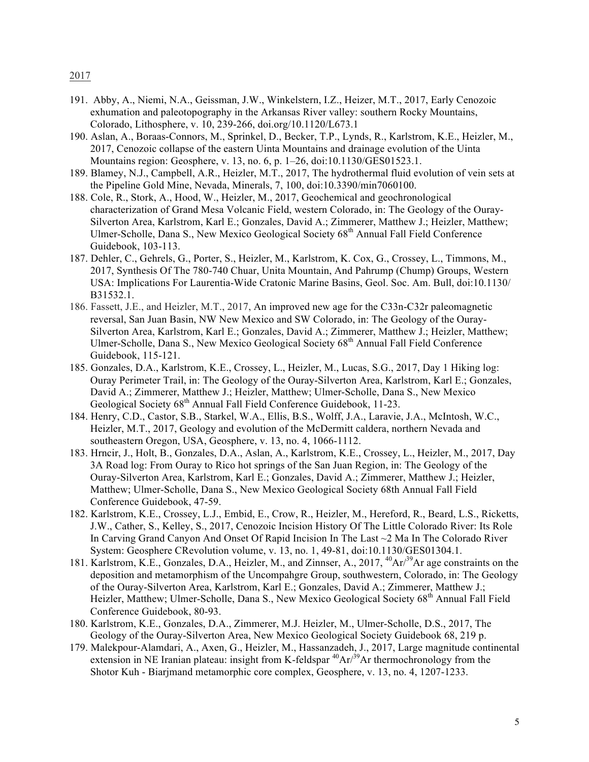- 2017
- 191. Abby, A., Niemi, N.A., Geissman, J.W., Winkelstern, I.Z., Heizer, M.T., 2017, Early Cenozoic exhumation and paleotopography in the Arkansas River valley: southern Rocky Mountains, Colorado, Lithosphere, v. 10, 239-266, doi.org/10.1120/L673.1
- 190. Aslan, A., Boraas-Connors, M., Sprinkel, D., Becker, T.P., Lynds, R., Karlstrom, K.E., Heizler, M., 2017, Cenozoic collapse of the eastern Uinta Mountains and drainage evolution of the Uinta Mountains region: Geosphere, v. 13, no. 6, p. 1–26, doi:10.1130/GES01523.1.
- 189. Blamey, N.J., Campbell, A.R., Heizler, M.T., 2017, The hydrothermal fluid evolution of vein sets at the Pipeline Gold Mine, Nevada, Minerals, 7, 100, doi:10.3390/min7060100.
- 188. Cole, R., Stork, A., Hood, W., Heizler, M., 2017, Geochemical and geochronological characterization of Grand Mesa Volcanic Field, western Colorado, in: The Geology of the Ouray-Silverton Area, Karlstrom, Karl E.; Gonzales, David A.; Zimmerer, Matthew J.; Heizler, Matthew; Ulmer-Scholle, Dana S., New Mexico Geological Society 68<sup>th</sup> Annual Fall Field Conference Guidebook, 103-113.
- 187. Dehler, C., Gehrels, G., Porter, S., Heizler, M., Karlstrom, K. Cox, G., Crossey, L., Timmons, M., 2017, Synthesis Of The 780-740 Chuar, Unita Mountain, And Pahrump (Chump) Groups, Western USA: Implications For Laurentia-Wide Cratonic Marine Basins, Geol. Soc. Am. Bull, doi:10.1130/ B31532.1.
- 186. Fassett, J.E., and Heizler, M.T., 2017, An improved new age for the C33n-C32r paleomagnetic reversal, San Juan Basin, NW New Mexico and SW Colorado, in: The Geology of the Ouray-Silverton Area, Karlstrom, Karl E.; Gonzales, David A.; Zimmerer, Matthew J.; Heizler, Matthew; Ulmer-Scholle, Dana S., New Mexico Geological Society 68<sup>th</sup> Annual Fall Field Conference Guidebook, 115-121.
- 185. Gonzales, D.A., Karlstrom, K.E., Crossey, L., Heizler, M., Lucas, S.G., 2017, Day 1 Hiking log: Ouray Perimeter Trail, in: The Geology of the Ouray-Silverton Area, Karlstrom, Karl E.; Gonzales, David A.; Zimmerer, Matthew J.; Heizler, Matthew; Ulmer-Scholle, Dana S., New Mexico Geological Society 68<sup>th</sup> Annual Fall Field Conference Guidebook, 11-23.
- 184. Henry, C.D., Castor, S.B., Starkel, W.A., Ellis, B.S., Wolff, J.A., Laravie, J.A., McIntosh, W.C., Heizler, M.T., 2017, Geology and evolution of the McDermitt caldera, northern Nevada and southeastern Oregon, USA, Geosphere, v. 13, no. 4, 1066-1112.
- 183. Hrncir, J., Holt, B., Gonzales, D.A., Aslan, A., Karlstrom, K.E., Crossey, L., Heizler, M., 2017, Day 3A Road log: From Ouray to Rico hot springs of the San Juan Region, in: The Geology of the Ouray-Silverton Area, Karlstrom, Karl E.; Gonzales, David A.; Zimmerer, Matthew J.; Heizler, Matthew; Ulmer-Scholle, Dana S., New Mexico Geological Society 68th Annual Fall Field Conference Guidebook, 47-59.
- 182. Karlstrom, K.E., Crossey, L.J., Embid, E., Crow, R., Heizler, M., Hereford, R., Beard, L.S., Ricketts, J.W., Cather, S., Kelley, S., 2017, Cenozoic Incision History Of The Little Colorado River: Its Role In Carving Grand Canyon And Onset Of Rapid Incision In The Last ~2 Ma In The Colorado River System: Geosphere CRevolution volume, v. 13, no. 1, 49-81, doi:10.1130/GES01304.1.
- 181. Karlstrom, K.E., Gonzales, D.A., Heizler, M., and Zinnser, A., 2017, <sup>40</sup>Ar<sup>39</sup>Ar age constraints on the deposition and metamorphism of the Uncompahgre Group, southwestern, Colorado, in: The Geology of the Ouray-Silverton Area, Karlstrom, Karl E.; Gonzales, David A.; Zimmerer, Matthew J.; Heizler, Matthew; Ulmer-Scholle, Dana S., New Mexico Geological Society 68<sup>th</sup> Annual Fall Field Conference Guidebook, 80-93.
- 180. Karlstrom, K.E., Gonzales, D.A., Zimmerer, M.J. Heizler, M., Ulmer-Scholle, D.S., 2017, The Geology of the Ouray-Silverton Area, New Mexico Geological Society Guidebook 68, 219 p.
- 179. Malekpour-Alamdari, A., Axen, G., Heizler, M., Hassanzadeh, J., 2017, Large magnitude continental extension in NE Iranian plateau: insight from K-feldspar  ${}^{40}Ar/{}^{39}Ar$  thermochronology from the Shotor Kuh - Biarjmand metamorphic core complex, Geosphere, v. 13, no. 4, 1207-1233.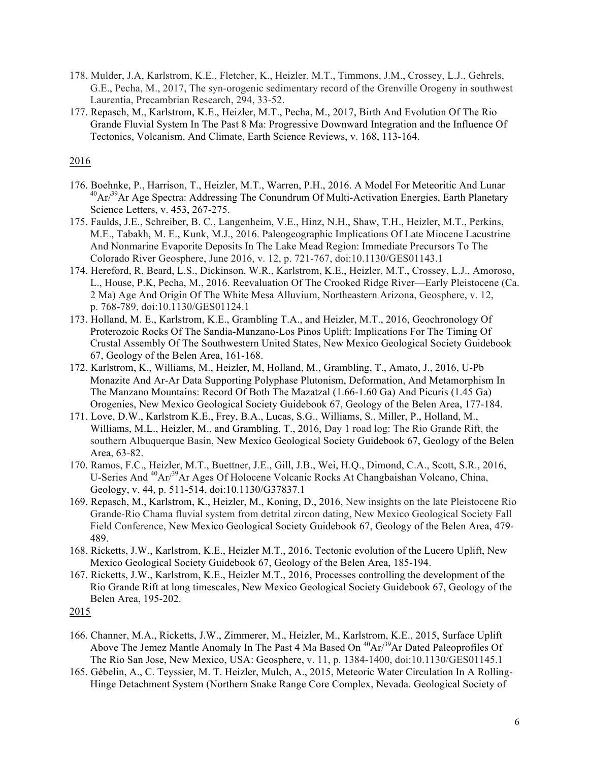- 178. Mulder, J.A, Karlstrom, K.E., Fletcher, K., Heizler, M.T., Timmons, J.M., Crossey, L.J., Gehrels, G.E., Pecha, M., 2017, The syn-orogenic sedimentary record of the Grenville Orogeny in southwest Laurentia, Precambrian Research, 294, 33-52.
- 177. Repasch, M., Karlstrom, K.E., Heizler, M.T., Pecha, M., 2017, Birth And Evolution Of The Rio Grande Fluvial System In The Past 8 Ma: Progressive Downward Integration and the Influence Of Tectonics, Volcanism, And Climate, Earth Science Reviews, v. 168, 113-164.

- 176. Boehnke, P., Harrison, T., Heizler, M.T., Warren, P.H., 2016. A Model For Meteoritic And Lunar  $^{40}Ar/^{39}Ar$  Age Spectra: Addressing The Conundrum Of Multi-Activation Energies, Earth Planetary Science Letters, v. 453, 267-275.
- 175. Faulds, J.E., Schreiber, B. C., Langenheim, V.E., Hinz, N.H., Shaw, T.H., Heizler, M.T., Perkins, M.E., Tabakh, M. E., Kunk, M.J., 2016. Paleogeographic Implications Of Late Miocene Lacustrine And Nonmarine Evaporite Deposits In The Lake Mead Region: Immediate Precursors To The Colorado River Geosphere, June 2016, v. 12, p. 721-767, doi:10.1130/GES01143.1
- 174. Hereford, R, Beard, L.S., Dickinson, W.R., Karlstrom, K.E., Heizler, M.T., Crossey, L.J., Amoroso, L., House, P.K, Pecha, M., 2016. Reevaluation Of The Crooked Ridge River—Early Pleistocene (Ca. 2 Ma) Age And Origin Of The White Mesa Alluvium, Northeastern Arizona, Geosphere, v. 12, p. 768-789, doi:10.1130/GES01124.1
- 173. Holland, M. E., Karlstrom, K.E., Grambling T.A., and Heizler, M.T., 2016, Geochronology Of Proterozoic Rocks Of The Sandia-Manzano-Los Pinos Uplift: Implications For The Timing Of Crustal Assembly Of The Southwestern United States, New Mexico Geological Society Guidebook 67, Geology of the Belen Area, 161-168.
- 172. Karlstrom, K., Williams, M., Heizler, M, Holland, M., Grambling, T., Amato, J., 2016, U-Pb Monazite And Ar-Ar Data Supporting Polyphase Plutonism, Deformation, And Metamorphism In The Manzano Mountains: Record Of Both The Mazatzal (1.66-1.60 Ga) And Picuris (1.45 Ga) Orogenies, New Mexico Geological Society Guidebook 67, Geology of the Belen Area, 177-184.
- 171. Love, D.W., Karlstrom K.E., Frey, B.A., Lucas, S.G., Williams, S., Miller, P., Holland, M., Williams, M.L., Heizler, M., and Grambling, T., 2016, Day 1 road log: The Rio Grande Rift, the southern Albuquerque Basin, New Mexico Geological Society Guidebook 67, Geology of the Belen Area, 63-82.
- 170. Ramos, F.C., Heizler, M.T., Buettner, J.E., Gill, J.B., Wei, H.Q., Dimond, C.A., Scott, S.R., 2016, U-Series And <sup>40</sup>Ar/<sup>39</sup>Ar Ages Of Holocene Volcanic Rocks At Changbaishan Volcano, China, Geology, v. 44, p. 511-514, doi:10.1130/G37837.1
- 169. Repasch, M., Karlstrom, K., Heizler, M., Koning, D., 2016, New insights on the late Pleistocene Rio Grande-Rio Chama fluvial system from detrital zircon dating, New Mexico Geological Society Fall Field Conference, New Mexico Geological Society Guidebook 67, Geology of the Belen Area, 479- 489.
- 168. Ricketts, J.W., Karlstrom, K.E., Heizler M.T., 2016, Tectonic evolution of the Lucero Uplift, New Mexico Geological Society Guidebook 67, Geology of the Belen Area, 185-194.
- 167. Ricketts, J.W., Karlstrom, K.E., Heizler M.T., 2016, Processes controlling the development of the Rio Grande Rift at long timescales, New Mexico Geological Society Guidebook 67, Geology of the Belen Area, 195-202.

- 166. Channer, M.A., Ricketts, J.W., Zimmerer, M., Heizler, M., Karlstrom, K.E., 2015, Surface Uplift Above The Jemez Mantle Anomaly In The Past 4 Ma Based On  ${}^{40}Ar/{}^{39}Ar$  Dated Paleoprofiles Of The Rio San Jose, New Mexico, USA: Geosphere, v. 11, p. 1384-1400, doi:10.1130/GES01145.1
- 165. Gébelin, A., C. Teyssier, M. T. Heizler, Mulch, A., 2015, Meteoric Water Circulation In A Rolling-Hinge Detachment System (Northern Snake Range Core Complex, Nevada. Geological Society of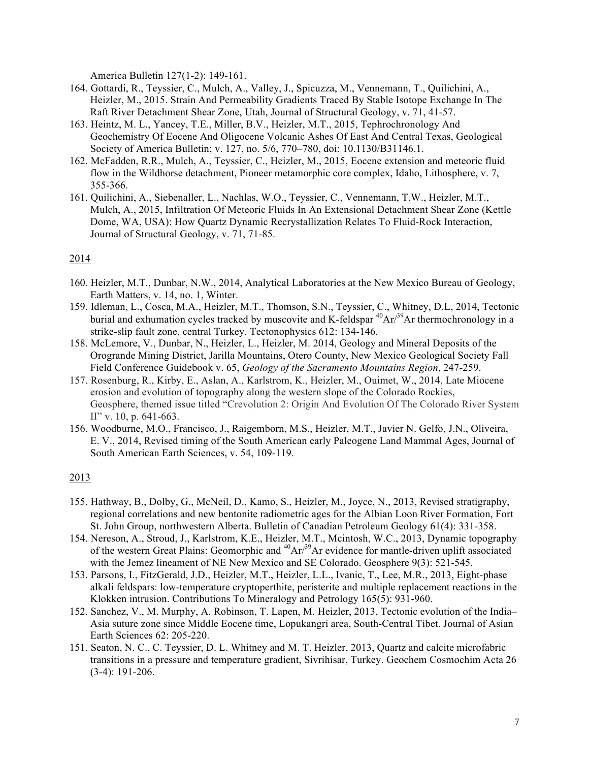America Bulletin 127(1-2): 149-161.

- 164. Gottardi, R., Teyssier, C., Mulch, A., Valley, J., Spicuzza, M., Vennemann, T., Quilichini, A., Heizler, M., 2015. Strain And Permeability Gradients Traced By Stable Isotope Exchange In The Raft River Detachment Shear Zone, Utah, Journal of Structural Geology, v. 71, 41-57.
- 163. Heintz, M. L., Yancey, T.E., Miller, B.V., Heizler, M.T., 2015, Tephrochronology And Geochemistry Of Eocene And Oligocene Volcanic Ashes Of East And Central Texas, Geological Society of America Bulletin; v. 127, no. 5/6, 770–780, doi: 10.1130/B31146.1.
- 162. McFadden, R.R., Mulch, A., Teyssier, C., Heizler, M., 2015, Eocene extension and meteoric fluid flow in the Wildhorse detachment, Pioneer metamorphic core complex, Idaho, Lithosphere, v. 7, 355-366.
- 161. Quilichini, A., Siebenaller, L., Nachlas, W.O., Teyssier, C., Vennemann, T.W., Heizler, M.T., Mulch, A., 2015, Infiltration Of Meteoric Fluids In An Extensional Detachment Shear Zone (Kettle Dome, WA, USA): How Quartz Dynamic Recrystallization Relates To Fluid-Rock Interaction, Journal of Structural Geology, v. 71, 71-85.

# 2014

- 160. Heizler, M.T., Dunbar, N.W., 2014, Analytical Laboratories at the New Mexico Bureau of Geology, Earth Matters, v. 14, no. 1, Winter.
- 159. Idleman, L., Cosca, M.A., Heizler, M.T., Thomson, S.N., Teyssier, C., Whitney, D.L, 2014, Tectonic burial and exhumation cycles tracked by muscovite and K-feldspar  ${}^{40}Ar/{}^{39}Ar$  thermochronology in a strike-slip fault zone, central Turkey. Tectonophysics 612: 134-146.
- 158. McLemore, V., Dunbar, N., Heizler, L., Heizler, M. 2014, Geology and Mineral Deposits of the Orogrande Mining District, Jarilla Mountains, Otero County, New Mexico Geological Society Fall Field Conference Guidebook v. 65, *Geology of the Sacramento Mountains Region*, 247-259.
- 157. Rosenburg, R., Kirby, E., Aslan, A., Karlstrom, K., Heizler, M., Ouimet, W., 2014, Late Miocene erosion and evolution of topography along the western slope of the Colorado Rockies, Geosphere, themed issue titled "Crevolution 2: Origin And Evolution Of The Colorado River System II" v. 10, p. 641-663.
- 156. Woodburne, M.O., Francisco, J., Raigemborn, M.S., Heizler, M.T., Javier N. Gelfo, J.N., Oliveira, E. V., 2014, Revised timing of the South American early Paleogene Land Mammal Ages, Journal of South American Earth Sciences, v. 54, 109-119.

- 155. Hathway, B., Dolby, G., McNeil, D., Kamo, S., Heizler, M., Joyce, N., 2013, Revised stratigraphy, regional correlations and new bentonite radiometric ages for the Albian Loon River Formation, Fort St. John Group, northwestern Alberta. Bulletin of Canadian Petroleum Geology 61(4): 331-358.
- 154. Nereson, A., Stroud, J., Karlstrom, K.E., Heizler, M.T., Mcintosh, W.C., 2013, Dynamic topography of the western Great Plains: Geomorphic and  ${}^{40}Ar^{39}Ar$  evidence for mantle-driven uplift associated with the Jemez lineament of NE New Mexico and SE Colorado. Geosphere 9(3): 521-545.
- 153. Parsons, I., FitzGerald, J.D., Heizler, M.T., Heizler, L.L., Ivanic, T., Lee, M.R., 2013, Eight-phase alkali feldspars: low-temperature cryptoperthite, peristerite and multiple replacement reactions in the Klokken intrusion. Contributions To Mineralogy and Petrology 165(5): 931-960.
- 152. Sanchez, V., M. Murphy, A. Robinson, T. Lapen, M. Heizler, 2013, Tectonic evolution of the India– Asia suture zone since Middle Eocene time, Lopukangri area, South-Central Tibet. Journal of Asian Earth Sciences 62: 205-220.
- 151. Seaton, N. C., C. Teyssier, D. L. Whitney and M. T. Heizler, 2013, Quartz and calcite microfabric transitions in a pressure and temperature gradient, Sivrihisar, Turkey. Geochem Cosmochim Acta 26 (3-4): 191-206.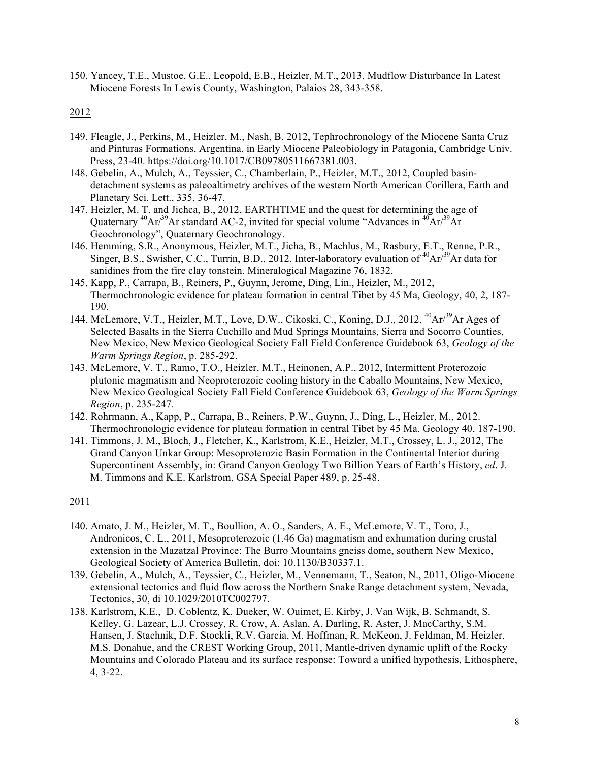150. Yancey, T.E., Mustoe, G.E., Leopold, E.B., Heizler, M.T., 2013, Mudflow Disturbance In Latest Miocene Forests In Lewis County, Washington, Palaios 28, 343-358.

## 2012

- 149. Fleagle, J., Perkins, M., Heizler, M., Nash, B. 2012, Tephrochronology of the Miocene Santa Cruz and Pinturas Formations, Argentina, in Early Miocene Paleobiology in Patagonia, Cambridge Univ. Press, 23-40. https://doi.org/10.1017/CB09780511667381.003.
- 148. Gebelin, A., Mulch, A., Teyssier, C., Chamberlain, P., Heizler, M.T., 2012, Coupled basindetachment systems as paleoaltimetry archives of the western North American Corillera, Earth and Planetary Sci. Lett., 335, 36-47.
- 147. Heizler, M. T. and Jichca, B., 2012, EARTHTIME and the quest for determining the age of Quaternary  ${}^{40}Ar/{}^{39}Ar$  standard AC-2, invited for special volume "Advances in  ${}^{40}Ar/{}^{39}Ar$ Geochronology", Quaternary Geochronology.
- 146. Hemming, S.R., Anonymous, Heizler, M.T., Jicha, B., Machlus, M., Rasbury, E.T., Renne, P.R., Singer, B.S., Swisher, C.C., Turrin, B.D., 2012. Inter-laboratory evaluation of  ${}^{40}Ar/{}^{39}Ar$  data for sanidines from the fire clay tonstein. Mineralogical Magazine 76, 1832.
- 145. Kapp, P., Carrapa, B., Reiners, P., Guynn, Jerome, Ding, Lin., Heizler, M., 2012, Thermochronologic evidence for plateau formation in central Tibet by 45 Ma, Geology, 40, 2, 187- 190.
- 144. McLemore, V.T., Heizler, M.T., Love, D.W., Cikoski, C., Koning, D.J., 2012, <sup>40</sup>Ar/<sup>39</sup>Ar Ages of Selected Basalts in the Sierra Cuchillo and Mud Springs Mountains, Sierra and Socorro Counties, New Mexico, New Mexico Geological Society Fall Field Conference Guidebook 63, *Geology of the Warm Springs Region*, p. 285-292.
- 143. McLemore, V. T., Ramo, T.O., Heizler, M.T., Heinonen, A.P., 2012, Intermittent Proterozoic plutonic magmatism and Neoproterozoic cooling history in the Caballo Mountains, New Mexico, New Mexico Geological Society Fall Field Conference Guidebook 63, *Geology of the Warm Springs Region*, p. 235-247.
- 142. Rohrmann, A., Kapp, P., Carrapa, B., Reiners, P.W., Guynn, J., Ding, L., Heizler, M., 2012. Thermochronologic evidence for plateau formation in central Tibet by 45 Ma. Geology 40, 187-190.
- 141. Timmons, J. M., Bloch, J., Fletcher, K., Karlstrom, K.E., Heizler, M.T., Crossey, L. J., 2012, The Grand Canyon Unkar Group: Mesoproterozic Basin Formation in the Continental Interior during Supercontinent Assembly, in: Grand Canyon Geology Two Billion Years of Earth's History, *ed*. J. M. Timmons and K.E. Karlstrom, GSA Special Paper 489, p. 25-48.

- 140. Amato, J. M., Heizler, M. T., Boullion, A. O., Sanders, A. E., McLemore, V. T., Toro, J., Andronicos, C. L., 2011, Mesoproterozoic (1.46 Ga) magmatism and exhumation during crustal extension in the Mazatzal Province: The Burro Mountains gneiss dome, southern New Mexico, Geological Society of America Bulletin, doi: 10.1130/B30337.1.
- 139. Gebelin, A., Mulch, A., Teyssier, C., Heizler, M., Vennemann, T., Seaton, N., 2011, Oligo-Miocene extensional tectonics and fluid flow across the Northern Snake Range detachment system, Nevada, Tectonics, 30, di 10.1029/2010TC002797.
- 138. Karlstrom, K.E., D. Coblentz, K. Dueker, W. Ouimet, E. Kirby, J. Van Wijk, B. Schmandt, S. Kelley, G. Lazear, L.J. Crossey, R. Crow, A. Aslan, A. Darling, R. Aster, J. MacCarthy, S.M. Hansen, J. Stachnik, D.F. Stockli, R.V. Garcia, M. Hoffman, R. McKeon, J. Feldman, M. Heizler, M.S. Donahue, and the CREST Working Group, 2011, Mantle-driven dynamic uplift of the Rocky Mountains and Colorado Plateau and its surface response: Toward a unified hypothesis, Lithosphere, 4, 3-22.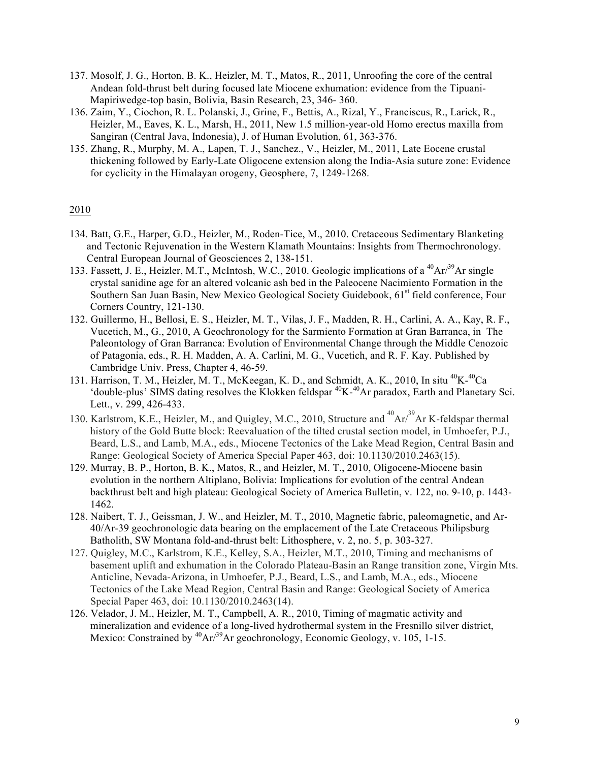- 137. Mosolf, J. G., Horton, B. K., Heizler, M. T., Matos, R., 2011, Unroofing the core of the central Andean fold-thrust belt during focused late Miocene exhumation: evidence from the Tipuani-Mapiriwedge-top basin, Bolivia, Basin Research, 23, 346- 360.
- 136. Zaim, Y., Ciochon, R. L. Polanski, J., Grine, F., Bettis, A., Rizal, Y., Franciscus, R., Larick, R., Heizler, M., Eaves, K. L., Marsh, H., 2011, New 1.5 million-year-old Homo erectus maxilla from Sangiran (Central Java, Indonesia), J. of Human Evolution, 61, 363-376.
- 135. Zhang, R., Murphy, M. A., Lapen, T. J., Sanchez., V., Heizler, M., 2011, Late Eocene crustal thickening followed by Early-Late Oligocene extension along the India-Asia suture zone: Evidence for cyclicity in the Himalayan orogeny, Geosphere, 7, 1249-1268.

- 134. Batt, G.E., Harper, G.D., Heizler, M., Roden-Tice, M., 2010. Cretaceous Sedimentary Blanketing and Tectonic Rejuvenation in the Western Klamath Mountains: Insights from Thermochronology. Central European Journal of Geosciences 2, 138-151.
- 133. Fassett, J. E., Heizler, M.T., McIntosh, W.C., 2010. Geologic implications of a <sup>40</sup>Ar/<sup>39</sup>Ar single crystal sanidine age for an altered volcanic ash bed in the Paleocene Nacimiento Formation in the Southern San Juan Basin, New Mexico Geological Society Guidebook, 61<sup>st</sup> field conference, Four Corners Country, 121-130.
- 132. Guillermo, H., Bellosi, E. S., Heizler, M. T., Vilas, J. F., Madden, R. H., Carlini, A. A., Kay, R. F., Vucetich, M., G., 2010, A Geochronology for the Sarmiento Formation at Gran Barranca, in The Paleontology of Gran Barranca: Evolution of Environmental Change through the Middle Cenozoic of Patagonia, eds., R. H. Madden, A. A. Carlini, M. G., Vucetich, and R. F. Kay. Published by Cambridge Univ. Press, Chapter 4, 46-59.
- 131. Harrison, T. M., Heizler, M. T., McKeegan, K. D., and Schmidt, A. K., 2010, In situ <sup>40</sup>K-<sup>40</sup>Ca 'double-plus' SIMS dating resolves the Klokken feldspar<sup>40</sup>K-<sup>40</sup>Ar paradox, Earth and Planetary Sci. Lett., v. 299, 426-433.
- 130. Karlstrom, K.E., Heizler, M., and Quigley, M.C., 2010, Structure and <sup>40</sup>Ar/<sup>39</sup>Ar K-feldspar thermal history of the Gold Butte block: Reevaluation of the tilted crustal section model, in Umhoefer, P.J., Beard, L.S., and Lamb, M.A., eds., Miocene Tectonics of the Lake Mead Region, Central Basin and Range: Geological Society of America Special Paper 463, doi: 10.1130/2010.2463(15).
- 129. Murray, B. P., Horton, B. K., Matos, R., and Heizler, M. T., 2010, Oligocene-Miocene basin evolution in the northern Altiplano, Bolivia: Implications for evolution of the central Andean backthrust belt and high plateau: Geological Society of America Bulletin, v. 122, no. 9-10, p. 1443- 1462.
- 128. Naibert, T. J., Geissman, J. W., and Heizler, M. T., 2010, Magnetic fabric, paleomagnetic, and Ar-40/Ar-39 geochronologic data bearing on the emplacement of the Late Cretaceous Philipsburg Batholith, SW Montana fold-and-thrust belt: Lithosphere, v. 2, no. 5, p. 303-327.
- 127. Quigley, M.C., Karlstrom, K.E., Kelley, S.A., Heizler, M.T., 2010, Timing and mechanisms of basement uplift and exhumation in the Colorado Plateau-Basin an Range transition zone, Virgin Mts. Anticline, Nevada-Arizona, in Umhoefer, P.J., Beard, L.S., and Lamb, M.A., eds., Miocene Tectonics of the Lake Mead Region, Central Basin and Range: Geological Society of America Special Paper 463, doi: 10.1130/2010.2463(14).
- 126. Velador, J. M., Heizler, M. T., Campbell, A. R., 2010, Timing of magmatic activity and mineralization and evidence of a long-lived hydrothermal system in the Fresnillo silver district, Mexico: Constrained by  ${}^{40}Ar/{}^{39}Ar$  geochronology, Economic Geology, v. 105, 1-15.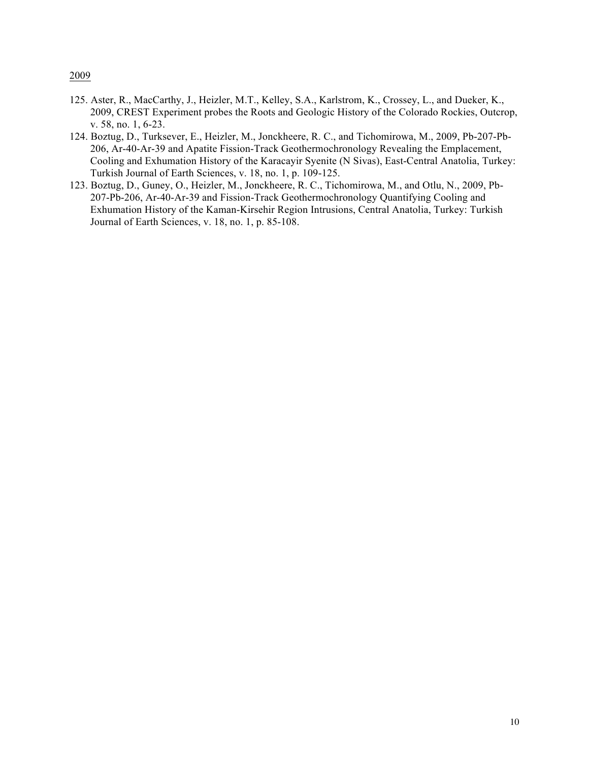- 125. Aster, R., MacCarthy, J., Heizler, M.T., Kelley, S.A., Karlstrom, K., Crossey, L., and Dueker, K., 2009, CREST Experiment probes the Roots and Geologic History of the Colorado Rockies, Outcrop, v. 58, no. 1, 6-23.
- 124. Boztug, D., Turksever, E., Heizler, M., Jonckheere, R. C., and Tichomirowa, M., 2009, Pb-207-Pb-206, Ar-40-Ar-39 and Apatite Fission-Track Geothermochronology Revealing the Emplacement, Cooling and Exhumation History of the Karacayir Syenite (N Sivas), East-Central Anatolia, Turkey: Turkish Journal of Earth Sciences, v. 18, no. 1, p. 109-125.
- 123. Boztug, D., Guney, O., Heizler, M., Jonckheere, R. C., Tichomirowa, M., and Otlu, N., 2009, Pb-207-Pb-206, Ar-40-Ar-39 and Fission-Track Geothermochronology Quantifying Cooling and Exhumation History of the Kaman-Kirsehir Region Intrusions, Central Anatolia, Turkey: Turkish Journal of Earth Sciences, v. 18, no. 1, p. 85-108.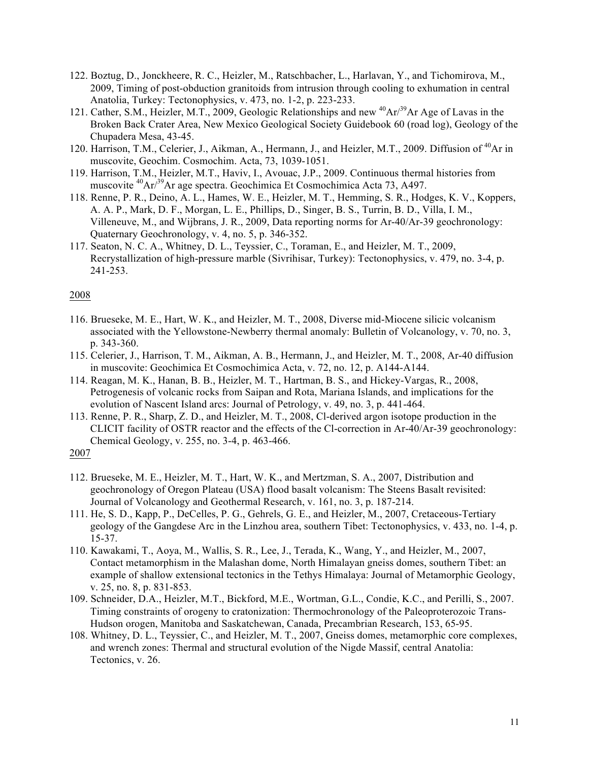- 122. Boztug, D., Jonckheere, R. C., Heizler, M., Ratschbacher, L., Harlavan, Y., and Tichomirova, M., 2009, Timing of post-obduction granitoids from intrusion through cooling to exhumation in central Anatolia, Turkey: Tectonophysics, v. 473, no. 1-2, p. 223-233.
- 121. Cather, S.M., Heizler, M.T., 2009, Geologic Relationships and new <sup>40</sup>Ar/<sup>39</sup>Ar Age of Lavas in the Broken Back Crater Area, New Mexico Geological Society Guidebook 60 (road log), Geology of the Chupadera Mesa, 43-45.
- 120. Harrison, T.M., Celerier, J., Aikman, A., Hermann, J., and Heizler, M.T., 2009. Diffusion of <sup>40</sup>Ar in muscovite, Geochim. Cosmochim. Acta, 73, 1039-1051.
- 119. Harrison, T.M., Heizler, M.T., Haviv, I., Avouac, J.P., 2009. Continuous thermal histories from muscovite <sup>40</sup>Ar<sup>39</sup>Ar age spectra. Geochimica Et Cosmochimica Acta 73, A497.
- 118. Renne, P. R., Deino, A. L., Hames, W. E., Heizler, M. T., Hemming, S. R., Hodges, K. V., Koppers, A. A. P., Mark, D. F., Morgan, L. E., Phillips, D., Singer, B. S., Turrin, B. D., Villa, I. M., Villeneuve, M., and Wijbrans, J. R., 2009, Data reporting norms for Ar-40/Ar-39 geochronology: Quaternary Geochronology, v. 4, no. 5, p. 346-352.
- 117. Seaton, N. C. A., Whitney, D. L., Teyssier, C., Toraman, E., and Heizler, M. T., 2009, Recrystallization of high-pressure marble (Sivrihisar, Turkey): Tectonophysics, v. 479, no. 3-4, p. 241-253.

- 116. Brueseke, M. E., Hart, W. K., and Heizler, M. T., 2008, Diverse mid-Miocene silicic volcanism associated with the Yellowstone-Newberry thermal anomaly: Bulletin of Volcanology, v. 70, no. 3, p. 343-360.
- 115. Celerier, J., Harrison, T. M., Aikman, A. B., Hermann, J., and Heizler, M. T., 2008, Ar-40 diffusion in muscovite: Geochimica Et Cosmochimica Acta, v. 72, no. 12, p. A144-A144.
- 114. Reagan, M. K., Hanan, B. B., Heizler, M. T., Hartman, B. S., and Hickey-Vargas, R., 2008, Petrogenesis of volcanic rocks from Saipan and Rota, Mariana Islands, and implications for the evolution of Nascent Island arcs: Journal of Petrology, v. 49, no. 3, p. 441-464.
- 113. Renne, P. R., Sharp, Z. D., and Heizler, M. T., 2008, Cl-derived argon isotope production in the CLICIT facility of OSTR reactor and the effects of the Cl-correction in Ar-40/Ar-39 geochronology: Chemical Geology, v. 255, no. 3-4, p. 463-466.
- 2007
- 112. Brueseke, M. E., Heizler, M. T., Hart, W. K., and Mertzman, S. A., 2007, Distribution and geochronology of Oregon Plateau (USA) flood basalt volcanism: The Steens Basalt revisited: Journal of Volcanology and Geothermal Research, v. 161, no. 3, p. 187-214.
- 111. He, S. D., Kapp, P., DeCelles, P. G., Gehrels, G. E., and Heizler, M., 2007, Cretaceous-Tertiary geology of the Gangdese Arc in the Linzhou area, southern Tibet: Tectonophysics, v. 433, no. 1-4, p. 15-37.
- 110. Kawakami, T., Aoya, M., Wallis, S. R., Lee, J., Terada, K., Wang, Y., and Heizler, M., 2007, Contact metamorphism in the Malashan dome, North Himalayan gneiss domes, southern Tibet: an example of shallow extensional tectonics in the Tethys Himalaya: Journal of Metamorphic Geology, v. 25, no. 8, p. 831-853.
- 109. Schneider, D.A., Heizler, M.T., Bickford, M.E., Wortman, G.L., Condie, K.C., and Perilli, S., 2007. Timing constraints of orogeny to cratonization: Thermochronology of the Paleoproterozoic Trans-Hudson orogen, Manitoba and Saskatchewan, Canada, Precambrian Research, 153, 65-95.
- 108. Whitney, D. L., Teyssier, C., and Heizler, M. T., 2007, Gneiss domes, metamorphic core complexes, and wrench zones: Thermal and structural evolution of the Nigde Massif, central Anatolia: Tectonics, v. 26.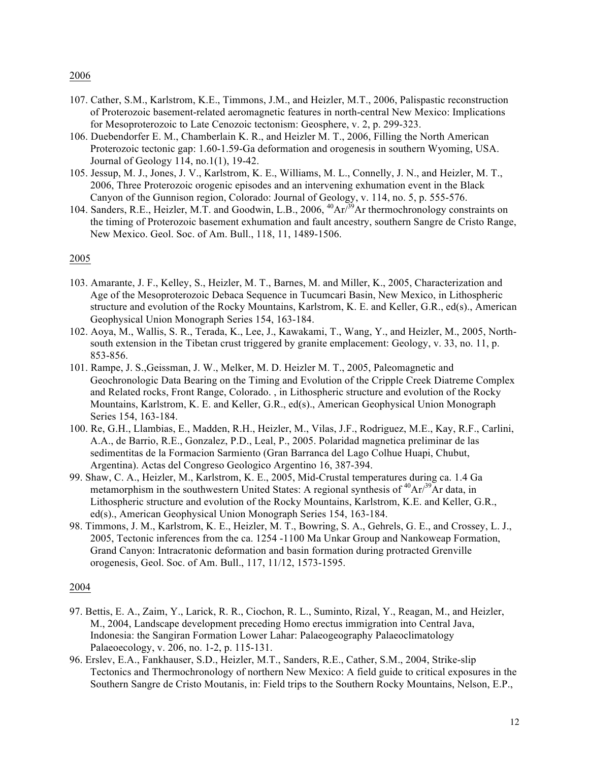- 107. Cather, S.M., Karlstrom, K.E., Timmons, J.M., and Heizler, M.T., 2006, Palispastic reconstruction of Proterozoic basement-related aeromagnetic features in north-central New Mexico: Implications for Mesoproterozoic to Late Cenozoic tectonism: Geosphere, v. 2, p. 299-323.
- 106. Duebendorfer E. M., Chamberlain K. R., and Heizler M. T., 2006, Filling the North American Proterozoic tectonic gap: 1.60-1.59-Ga deformation and orogenesis in southern Wyoming, USA. Journal of Geology 114, no.1(1), 19-42.
- 105. Jessup, M. J., Jones, J. V., Karlstrom, K. E., Williams, M. L., Connelly, J. N., and Heizler, M. T., 2006, Three Proterozoic orogenic episodes and an intervening exhumation event in the Black Canyon of the Gunnison region, Colorado: Journal of Geology, v. 114, no. 5, p. 555-576.
- 104. Sanders, R.E., Heizler, M.T. and Goodwin, L.B., 2006, <sup>40</sup>Ar<sup>739</sup>Ar thermochronology constraints on the timing of Proterozoic basement exhumation and fault ancestry, southern Sangre de Cristo Range, New Mexico. Geol. Soc. of Am. Bull., 118, 11, 1489-1506.

### 2005

- 103. Amarante, J. F., Kelley, S., Heizler, M. T., Barnes, M. and Miller, K., 2005, Characterization and Age of the Mesoproterozoic Debaca Sequence in Tucumcari Basin, New Mexico, in Lithospheric structure and evolution of the Rocky Mountains, Karlstrom, K. E. and Keller, G.R., ed(s)., American Geophysical Union Monograph Series 154, 163-184.
- 102. Aoya, M., Wallis, S. R., Terada, K., Lee, J., Kawakami, T., Wang, Y., and Heizler, M., 2005, Northsouth extension in the Tibetan crust triggered by granite emplacement: Geology, v. 33, no. 11, p. 853-856.
- 101. Rampe, J. S.,Geissman, J. W., Melker, M. D. Heizler M. T., 2005, Paleomagnetic and Geochronologic Data Bearing on the Timing and Evolution of the Cripple Creek Diatreme Complex and Related rocks, Front Range, Colorado. , in Lithospheric structure and evolution of the Rocky Mountains, Karlstrom, K. E. and Keller, G.R., ed(s)., American Geophysical Union Monograph Series 154, 163-184.
- 100. Re, G.H., Llambias, E., Madden, R.H., Heizler, M., Vilas, J.F., Rodriguez, M.E., Kay, R.F., Carlini, A.A., de Barrio, R.E., Gonzalez, P.D., Leal, P., 2005. Polaridad magnetica preliminar de las sedimentitas de la Formacion Sarmiento (Gran Barranca del Lago Colhue Huapi, Chubut, Argentina). Actas del Congreso Geologico Argentino 16, 387-394.
- 99. Shaw, C. A., Heizler, M., Karlstrom, K. E., 2005, Mid-Crustal temperatures during ca. 1.4 Ga metamorphism in the southwestern United States: A regional synthesis of  ${}^{40}Ar^{39}Ar$  data, in Lithospheric structure and evolution of the Rocky Mountains, Karlstrom, K.E. and Keller, G.R., ed(s)., American Geophysical Union Monograph Series 154, 163-184.
- 98. Timmons, J. M., Karlstrom, K. E., Heizler, M. T., Bowring, S. A., Gehrels, G. E., and Crossey, L. J., 2005, Tectonic inferences from the ca. 1254 -1100 Ma Unkar Group and Nankoweap Formation, Grand Canyon: Intracratonic deformation and basin formation during protracted Grenville orogenesis, Geol. Soc. of Am. Bull., 117, 11/12, 1573-1595.

- 97. Bettis, E. A., Zaim, Y., Larick, R. R., Ciochon, R. L., Suminto, Rizal, Y., Reagan, M., and Heizler, M., 2004, Landscape development preceding Homo erectus immigration into Central Java, Indonesia: the Sangiran Formation Lower Lahar: Palaeogeography Palaeoclimatology Palaeoecology, v. 206, no. 1-2, p. 115-131.
- 96. Erslev, E.A., Fankhauser, S.D., Heizler, M.T., Sanders, R.E., Cather, S.M., 2004, Strike-slip Tectonics and Thermochronology of northern New Mexico: A field guide to critical exposures in the Southern Sangre de Cristo Moutanis, in: Field trips to the Southern Rocky Mountains, Nelson, E.P.,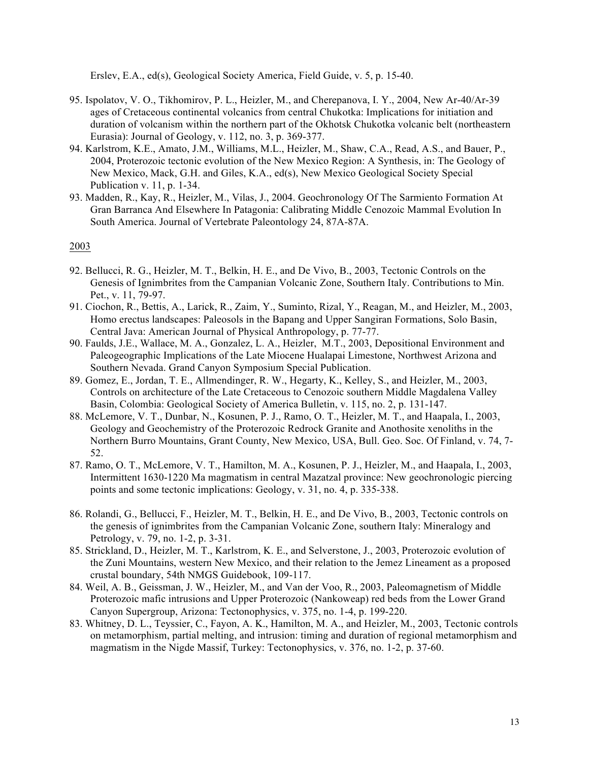Erslev, E.A., ed(s), Geological Society America, Field Guide, v. 5, p. 15-40.

- 95. Ispolatov, V. O., Tikhomirov, P. L., Heizler, M., and Cherepanova, I. Y., 2004, New Ar-40/Ar-39 ages of Cretaceous continental volcanics from central Chukotka: Implications for initiation and duration of volcanism within the northern part of the Okhotsk Chukotka volcanic belt (northeastern Eurasia): Journal of Geology, v. 112, no. 3, p. 369-377.
- 94. Karlstrom, K.E., Amato, J.M., Williams, M.L., Heizler, M., Shaw, C.A., Read, A.S., and Bauer, P., 2004, Proterozoic tectonic evolution of the New Mexico Region: A Synthesis, in: The Geology of New Mexico, Mack, G.H. and Giles, K.A., ed(s), New Mexico Geological Society Special Publication v. 11, p. 1-34.
- 93. Madden, R., Kay, R., Heizler, M., Vilas, J., 2004. Geochronology Of The Sarmiento Formation At Gran Barranca And Elsewhere In Patagonia: Calibrating Middle Cenozoic Mammal Evolution In South America. Journal of Vertebrate Paleontology 24, 87A-87A.

- 92. Bellucci, R. G., Heizler, M. T., Belkin, H. E., and De Vivo, B., 2003, Tectonic Controls on the Genesis of Ignimbrites from the Campanian Volcanic Zone, Southern Italy. Contributions to Min. Pet., v. 11, 79-97.
- 91. Ciochon, R., Bettis, A., Larick, R., Zaim, Y., Suminto, Rizal, Y., Reagan, M., and Heizler, M., 2003, Homo erectus landscapes: Paleosols in the Bapang and Upper Sangiran Formations, Solo Basin, Central Java: American Journal of Physical Anthropology, p. 77-77.
- 90. Faulds, J.E., Wallace, M. A., Gonzalez, L. A., Heizler, M.T., 2003, Depositional Environment and Paleogeographic Implications of the Late Miocene Hualapai Limestone, Northwest Arizona and Southern Nevada. Grand Canyon Symposium Special Publication.
- 89. Gomez, E., Jordan, T. E., Allmendinger, R. W., Hegarty, K., Kelley, S., and Heizler, M., 2003, Controls on architecture of the Late Cretaceous to Cenozoic southern Middle Magdalena Valley Basin, Colombia: Geological Society of America Bulletin, v. 115, no. 2, p. 131-147.
- 88. McLemore, V. T., Dunbar, N., Kosunen, P. J., Ramo, O. T., Heizler, M. T., and Haapala, I., 2003, Geology and Geochemistry of the Proterozoic Redrock Granite and Anothosite xenoliths in the Northern Burro Mountains, Grant County, New Mexico, USA, Bull. Geo. Soc. Of Finland, v. 74, 7- 52.
- 87. Ramo, O. T., McLemore, V. T., Hamilton, M. A., Kosunen, P. J., Heizler, M., and Haapala, I., 2003, Intermittent 1630-1220 Ma magmatism in central Mazatzal province: New geochronologic piercing points and some tectonic implications: Geology, v. 31, no. 4, p. 335-338.
- 86. Rolandi, G., Bellucci, F., Heizler, M. T., Belkin, H. E., and De Vivo, B., 2003, Tectonic controls on the genesis of ignimbrites from the Campanian Volcanic Zone, southern Italy: Mineralogy and Petrology, v. 79, no. 1-2, p. 3-31.
- 85. Strickland, D., Heizler, M. T., Karlstrom, K. E., and Selverstone, J., 2003, Proterozoic evolution of the Zuni Mountains, western New Mexico, and their relation to the Jemez Lineament as a proposed crustal boundary, 54th NMGS Guidebook, 109-117.
- 84. Weil, A. B., Geissman, J. W., Heizler, M., and Van der Voo, R., 2003, Paleomagnetism of Middle Proterozoic mafic intrusions and Upper Proterozoic (Nankoweap) red beds from the Lower Grand Canyon Supergroup, Arizona: Tectonophysics, v. 375, no. 1-4, p. 199-220.
- 83. Whitney, D. L., Teyssier, C., Fayon, A. K., Hamilton, M. A., and Heizler, M., 2003, Tectonic controls on metamorphism, partial melting, and intrusion: timing and duration of regional metamorphism and magmatism in the Nigde Massif, Turkey: Tectonophysics, v. 376, no. 1-2, p. 37-60.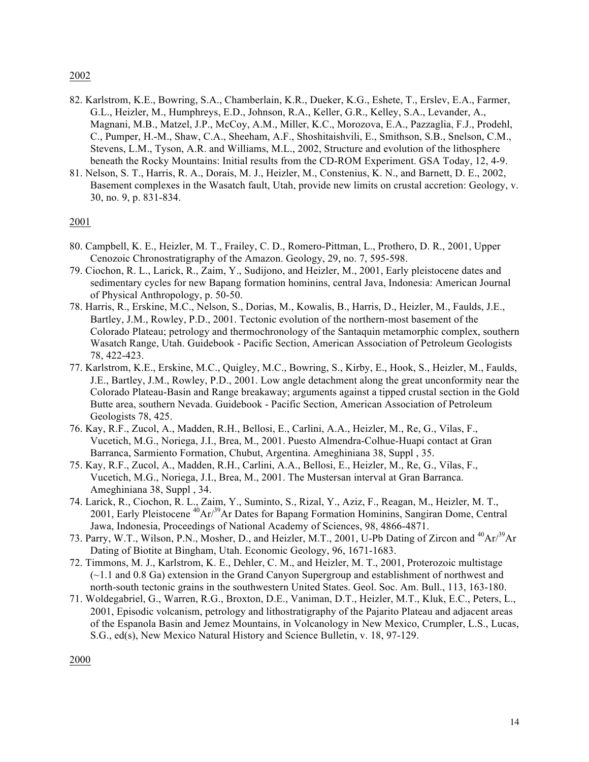- 82. Karlstrom, K.E., Bowring, S.A., Chamberlain, K.R., Dueker, K.G., Eshete, T., Erslev, E.A., Farmer, G.L., Heizler, M., Humphreys, E.D., Johnson, R.A., Keller, G.R., Kelley, S.A., Levander, A., Magnani, M.B., Matzel, J.P., McCoy, A.M., Miller, K.C., Morozova, E.A., Pazzaglia, F.J., Prodehl, C., Pumper, H.-M., Shaw, C.A., Sheeham, A.F., Shoshitaishvili, E., Smithson, S.B., Snelson, C.M., Stevens, L.M., Tyson, A.R. and Williams, M.L., 2002, Structure and evolution of the lithosphere beneath the Rocky Mountains: Initial results from the CD-ROM Experiment. GSA Today, 12, 4-9.
- 81. Nelson, S. T., Harris, R. A., Dorais, M. J., Heizler, M., Constenius, K. N., and Barnett, D. E., 2002, Basement complexes in the Wasatch fault, Utah, provide new limits on crustal accretion: Geology, v. 30, no. 9, p. 831-834.

# 2001

- 80. Campbell, K. E., Heizler, M. T., Frailey, C. D., Romero-Pittman, L., Prothero, D. R., 2001, Upper Cenozoic Chronostratigraphy of the Amazon. Geology, 29, no. 7, 595-598.
- 79. Ciochon, R. L., Larick, R., Zaim, Y., Sudijono, and Heizler, M., 2001, Early pleistocene dates and sedimentary cycles for new Bapang formation hominins, central Java, Indonesia: American Journal of Physical Anthropology, p. 50-50.
- 78. Harris, R., Erskine, M.C., Nelson, S., Dorias, M., Kowalis, B., Harris, D., Heizler, M., Faulds, J.E., Bartley, J.M., Rowley, P.D., 2001. Tectonic evolution of the northern-most basement of the Colorado Plateau; petrology and thermochronology of the Santaquin metamorphic complex, southern Wasatch Range, Utah. Guidebook - Pacific Section, American Association of Petroleum Geologists 78, 422-423.
- 77. Karlstrom, K.E., Erskine, M.C., Quigley, M.C., Bowring, S., Kirby, E., Hook, S., Heizler, M., Faulds, J.E., Bartley, J.M., Rowley, P.D., 2001. Low angle detachment along the great unconformity near the Colorado Plateau-Basin and Range breakaway; arguments against a tipped crustal section in the Gold Butte area, southern Nevada. Guidebook - Pacific Section, American Association of Petroleum Geologists 78, 425.
- 76. Kay, R.F., Zucol, A., Madden, R.H., Bellosi, E., Carlini, A.A., Heizler, M., Re, G., Vilas, F., Vucetich, M.G., Noriega, J.I., Brea, M., 2001. Puesto Almendra-Colhue-Huapi contact at Gran Barranca, Sarmiento Formation, Chubut, Argentina. Ameghiniana 38, Suppl , 35.
- 75. Kay, R.F., Zucol, A., Madden, R.H., Carlini, A.A., Bellosi, E., Heizler, M., Re, G., Vilas, F., Vucetich, M.G., Noriega, J.I., Brea, M., 2001. The Mustersan interval at Gran Barranca. Ameghiniana 38, Suppl , 34.
- 74. Larick, R., Ciochon, R. L., Zaim, Y., Suminto, S., Rizal, Y., Aziz, F., Reagan, M., Heizler, M. T., 2001, Early Pleistocene 40Ar/39Ar Dates for Bapang Formation Hominins, Sangiran Dome, Central Jawa, Indonesia, Proceedings of National Academy of Sciences, 98, 4866-4871.
- 73. Parry, W.T., Wilson, P.N., Mosher, D., and Heizler, M.T., 2001, U-Pb Dating of Zircon and  ${}^{40}\text{Ar}^{39}\text{Ar}$ Dating of Biotite at Bingham, Utah. Economic Geology, 96, 1671-1683.
- 72. Timmons, M. J., Karlstrom, K. E., Dehler, C. M., and Heizler, M. T., 2001, Proterozoic multistage (~1.1 and 0.8 Ga) extension in the Grand Canyon Supergroup and establishment of northwest and north-south tectonic grains in the southwestern United States. Geol. Soc. Am. Bull., 113, 163-180.
- 71. Woldegabriel, G., Warren, R.G., Broxton, D.E., Vaniman, D.T., Heizler, M.T., Kluk, E.C., Peters, L., 2001, Episodic volcanism, petrology and lithostratigraphy of the Pajarito Plateau and adjacent areas of the Espanola Basin and Jemez Mountains, in Volcanology in New Mexico, Crumpler, L.S., Lucas, S.G., ed(s), New Mexico Natural History and Science Bulletin, v. 18, 97-129.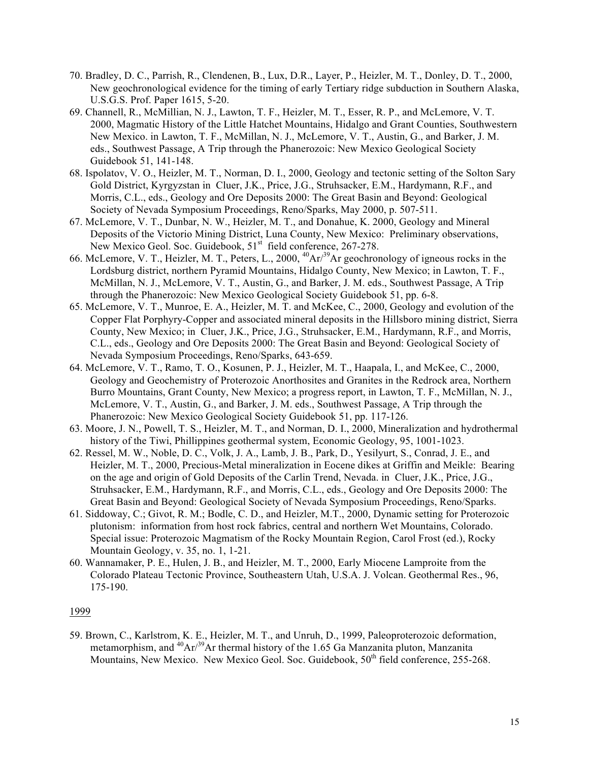- 70. Bradley, D. C., Parrish, R., Clendenen, B., Lux, D.R., Layer, P., Heizler, M. T., Donley, D. T., 2000, New geochronological evidence for the timing of early Tertiary ridge subduction in Southern Alaska, U.S.G.S. Prof. Paper 1615, 5-20.
- 69. Channell, R., McMillian, N. J., Lawton, T. F., Heizler, M. T., Esser, R. P., and McLemore, V. T. 2000, Magmatic History of the Little Hatchet Mountains, Hidalgo and Grant Counties, Southwestern New Mexico. in Lawton, T. F., McMillan, N. J., McLemore, V. T., Austin, G., and Barker, J. M. eds., Southwest Passage, A Trip through the Phanerozoic: New Mexico Geological Society Guidebook 51, 141-148.
- 68. Ispolatov, V. O., Heizler, M. T., Norman, D. I., 2000, Geology and tectonic setting of the Solton Sary Gold District, Kyrgyzstan in Cluer, J.K., Price, J.G., Struhsacker, E.M., Hardymann, R.F., and Morris, C.L., eds., Geology and Ore Deposits 2000: The Great Basin and Beyond: Geological Society of Nevada Symposium Proceedings, Reno/Sparks, May 2000, p. 507-511.
- 67. McLemore, V. T., Dunbar, N. W., Heizler, M. T., and Donahue, K. 2000, Geology and Mineral Deposits of the Victorio Mining District, Luna County, New Mexico: Preliminary observations, New Mexico Geol. Soc. Guidebook, 51<sup>st</sup> field conference, 267-278.
- 66. McLemore, V. T., Heizler, M. T., Peters, L., 2000, 40Ar/39Ar geochronology of igneous rocks in the Lordsburg district, northern Pyramid Mountains, Hidalgo County, New Mexico; in Lawton, T. F., McMillan, N. J., McLemore, V. T., Austin, G., and Barker, J. M. eds., Southwest Passage, A Trip through the Phanerozoic: New Mexico Geological Society Guidebook 51, pp. 6-8.
- 65. McLemore, V. T., Munroe, E. A., Heizler, M. T. and McKee, C., 2000, Geology and evolution of the Copper Flat Porphyry-Copper and associated mineral deposits in the Hillsboro mining district, Sierra County, New Mexico; in Cluer, J.K., Price, J.G., Struhsacker, E.M., Hardymann, R.F., and Morris, C.L., eds., Geology and Ore Deposits 2000: The Great Basin and Beyond: Geological Society of Nevada Symposium Proceedings, Reno/Sparks, 643-659.
- 64. McLemore, V. T., Ramo, T. O., Kosunen, P. J., Heizler, M. T., Haapala, I., and McKee, C., 2000, Geology and Geochemistry of Proterozoic Anorthosites and Granites in the Redrock area, Northern Burro Mountains, Grant County, New Mexico; a progress report, in Lawton, T. F., McMillan, N. J., McLemore, V. T., Austin, G., and Barker, J. M. eds., Southwest Passage, A Trip through the Phanerozoic: New Mexico Geological Society Guidebook 51, pp. 117-126.
- 63. Moore, J. N., Powell, T. S., Heizler, M. T., and Norman, D. I., 2000, Mineralization and hydrothermal history of the Tiwi, Phillippines geothermal system, Economic Geology, 95, 1001-1023.
- 62. Ressel, M. W., Noble, D. C., Volk, J. A., Lamb, J. B., Park, D., Yesilyurt, S., Conrad, J. E., and Heizler, M. T., 2000, Precious-Metal mineralization in Eocene dikes at Griffin and Meikle: Bearing on the age and origin of Gold Deposits of the Carlin Trend, Nevada. in Cluer, J.K., Price, J.G., Struhsacker, E.M., Hardymann, R.F., and Morris, C.L., eds., Geology and Ore Deposits 2000: The Great Basin and Beyond: Geological Society of Nevada Symposium Proceedings, Reno/Sparks.
- 61. Siddoway, C.; Givot, R. M.; Bodle, C. D., and Heizler, M.T., 2000, Dynamic setting for Proterozoic plutonism: information from host rock fabrics, central and northern Wet Mountains, Colorado. Special issue: Proterozoic Magmatism of the Rocky Mountain Region, Carol Frost (ed.), Rocky Mountain Geology, v. 35, no. 1, 1-21.
- 60. Wannamaker, P. E., Hulen, J. B., and Heizler, M. T., 2000, Early Miocene Lamproite from the Colorado Plateau Tectonic Province, Southeastern Utah, U.S.A. J. Volcan. Geothermal Res., 96, 175-190.

59. Brown, C., Karlstrom, K. E., Heizler, M. T., and Unruh, D., 1999, Paleoproterozoic deformation, metamorphism, and  ${}^{40}$ Ar $/{}^{39}$ Ar thermal history of the 1.65 Ga Manzanita pluton, Manzanita Mountains, New Mexico. New Mexico Geol. Soc. Guidebook, 50<sup>th</sup> field conference, 255-268.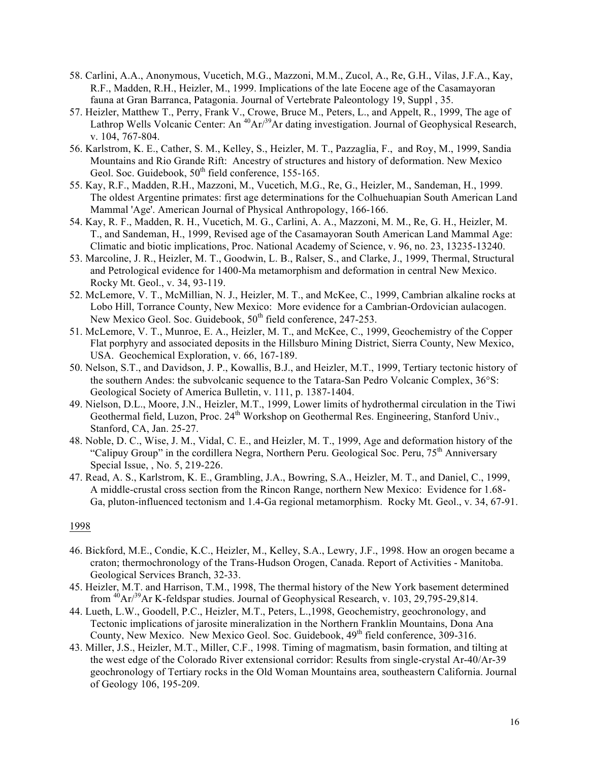- 58. Carlini, A.A., Anonymous, Vucetich, M.G., Mazzoni, M.M., Zucol, A., Re, G.H., Vilas, J.F.A., Kay, R.F., Madden, R.H., Heizler, M., 1999. Implications of the late Eocene age of the Casamayoran fauna at Gran Barranca, Patagonia. Journal of Vertebrate Paleontology 19, Suppl , 35.
- 57. Heizler, Matthew T., Perry, Frank V., Crowe, Bruce M., Peters, L., and Appelt, R., 1999, The age of Lathrop Wells Volcanic Center: An  $^{40}Ar^{39}Ar$  dating investigation. Journal of Geophysical Research, v. 104, 767-804.
- 56. Karlstrom, K. E., Cather, S. M., Kelley, S., Heizler, M. T., Pazzaglia, F., and Roy, M., 1999, Sandia Mountains and Rio Grande Rift: Ancestry of structures and history of deformation. New Mexico Geol. Soc. Guidebook,  $50<sup>th</sup>$  field conference, 155-165.
- 55. Kay, R.F., Madden, R.H., Mazzoni, M., Vucetich, M.G., Re, G., Heizler, M., Sandeman, H., 1999. The oldest Argentine primates: first age determinations for the Colhuehuapian South American Land Mammal 'Age'. American Journal of Physical Anthropology, 166-166.
- 54. Kay, R. F., Madden, R. H., Vucetich, M. G., Carlini, A. A., Mazzoni, M. M., Re, G. H., Heizler, M. T., and Sandeman, H., 1999, Revised age of the Casamayoran South American Land Mammal Age: Climatic and biotic implications, Proc. National Academy of Science, v. 96, no. 23, 13235-13240.
- 53. Marcoline, J. R., Heizler, M. T., Goodwin, L. B., Ralser, S., and Clarke, J., 1999, Thermal, Structural and Petrological evidence for 1400-Ma metamorphism and deformation in central New Mexico. Rocky Mt. Geol., v. 34, 93-119.
- 52. McLemore, V. T., McMillian, N. J., Heizler, M. T., and McKee, C., 1999, Cambrian alkaline rocks at Lobo Hill, Torrance County, New Mexico: More evidence for a Cambrian-Ordovician aulacogen. New Mexico Geol. Soc. Guidebook,  $50<sup>th</sup>$  field conference, 247-253.
- 51. McLemore, V. T., Munroe, E. A., Heizler, M. T., and McKee, C., 1999, Geochemistry of the Copper Flat porphyry and associated deposits in the Hillsburo Mining District, Sierra County, New Mexico, USA. Geochemical Exploration, v. 66, 167-189.
- 50. Nelson, S.T., and Davidson, J. P., Kowallis, B.J., and Heizler, M.T., 1999, Tertiary tectonic history of the southern Andes: the subvolcanic sequence to the Tatara-San Pedro Volcanic Complex, 36°S: Geological Society of America Bulletin, v. 111, p. 1387-1404.
- 49. Nielson, D.L., Moore, J.N., Heizler, M.T., 1999, Lower limits of hydrothermal circulation in the Tiwi Geothermal field, Luzon, Proc. 24<sup>th</sup> Workshop on Geothermal Res. Engineering, Stanford Univ., Stanford, CA, Jan. 25-27.
- 48. Noble, D. C., Wise, J. M., Vidal, C. E., and Heizler, M. T., 1999, Age and deformation history of the "Calipuy Group" in the cordillera Negra, Northern Peru. Geological Soc. Peru, 75<sup>th</sup> Anniversary Special Issue, , No. 5, 219-226.
- 47. Read, A. S., Karlstrom, K. E., Grambling, J.A., Bowring, S.A., Heizler, M. T., and Daniel, C., 1999, A middle-crustal cross section from the Rincon Range, northern New Mexico: Evidence for 1.68- Ga, pluton-influenced tectonism and 1.4-Ga regional metamorphism. Rocky Mt. Geol., v. 34, 67-91.

- 46. Bickford, M.E., Condie, K.C., Heizler, M., Kelley, S.A., Lewry, J.F., 1998. How an orogen became a craton; thermochronology of the Trans-Hudson Orogen, Canada. Report of Activities - Manitoba. Geological Services Branch, 32-33.
- 45. Heizler, M.T. and Harrison, T.M., 1998, The thermal history of the New York basement determined from  $^{40}$ Ar/ $^{39}$ Ar K-feldspar studies. Journal of Geophysical Research, v. 103, 29,795-29,814.
- 44. Lueth, L.W., Goodell, P.C., Heizler, M.T., Peters, L.,1998, Geochemistry, geochronology, and Tectonic implications of jarosite mineralization in the Northern Franklin Mountains, Dona Ana County, New Mexico. New Mexico Geol. Soc. Guidebook,  $49<sup>th</sup>$  field conference, 309-316.
- 43. Miller, J.S., Heizler, M.T., Miller, C.F., 1998. Timing of magmatism, basin formation, and tilting at the west edge of the Colorado River extensional corridor: Results from single-crystal Ar-40/Ar-39 geochronology of Tertiary rocks in the Old Woman Mountains area, southeastern California. Journal of Geology 106, 195-209.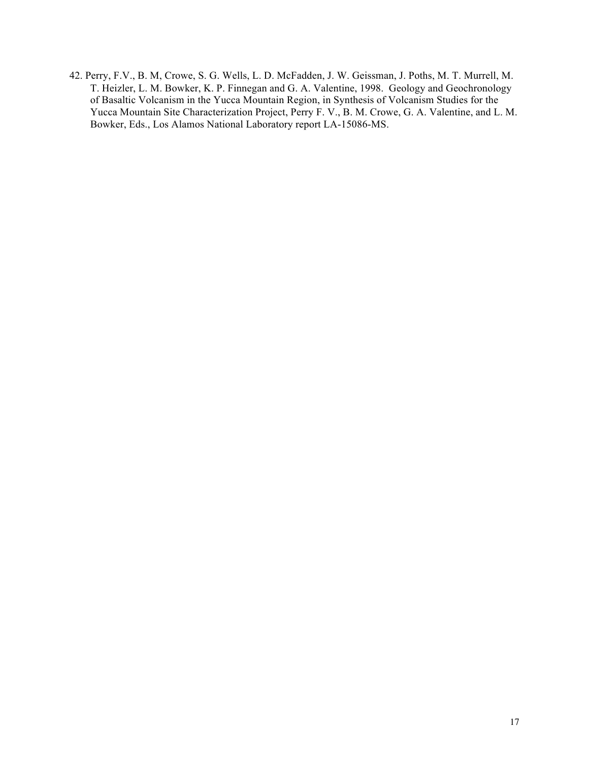42. Perry, F.V., B. M, Crowe, S. G. Wells, L. D. McFadden, J. W. Geissman, J. Poths, M. T. Murrell, M. T. Heizler, L. M. Bowker, K. P. Finnegan and G. A. Valentine, 1998. Geology and Geochronology of Basaltic Volcanism in the Yucca Mountain Region, in Synthesis of Volcanism Studies for the Yucca Mountain Site Characterization Project, Perry F. V., B. M. Crowe, G. A. Valentine, and L. M. Bowker, Eds., Los Alamos National Laboratory report LA-15086-MS.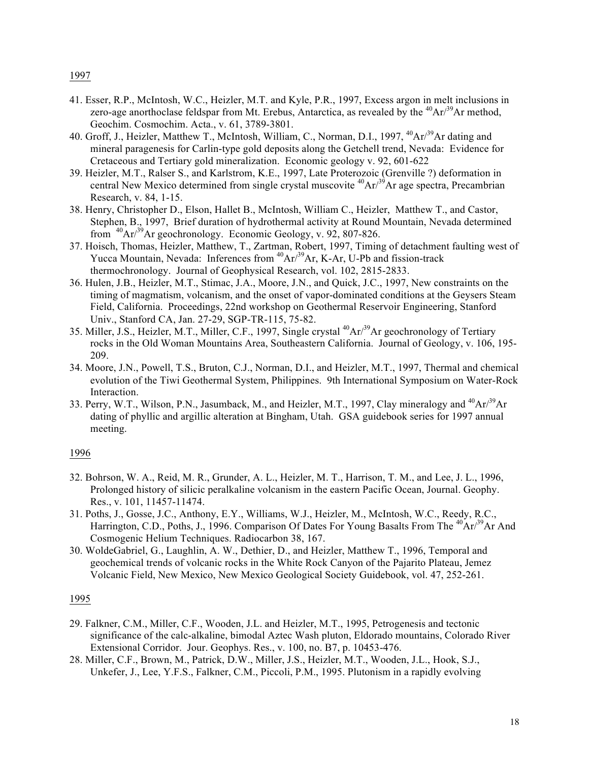- 1997
- 41. Esser, R.P., McIntosh, W.C., Heizler, M.T. and Kyle, P.R., 1997, Excess argon in melt inclusions in zero-age anorthoclase feldspar from Mt. Erebus, Antarctica, as revealed by the  ${}^{40}Ar/{}^{39}Ar$  method, Geochim. Cosmochim. Acta., v. 61, 3789-3801.
- 40. Groff, J., Heizler, Matthew T., McIntosh, William, C., Norman, D.I., 1997, <sup>40</sup>Ar<sup>39</sup>Ar dating and mineral paragenesis for Carlin-type gold deposits along the Getchell trend, Nevada: Evidence for Cretaceous and Tertiary gold mineralization. Economic geology v. 92, 601-622
- 39. Heizler, M.T., Ralser S., and Karlstrom, K.E., 1997, Late Proterozoic (Grenville ?) deformation in central New Mexico determined from single crystal muscovite  ${}^{40}Ar^{39}Ar$  age spectra, Precambrian Research, v. 84, 1-15.
- 38. Henry, Christopher D., Elson, Hallet B., McIntosh, William C., Heizler, Matthew T., and Castor, Stephen, B., 1997, Brief duration of hydrothermal activity at Round Mountain, Nevada determined from  $^{40}Ar^{39}Ar$  geochronology. Economic Geology, v. 92, 807-826.
- 37. Hoisch, Thomas, Heizler, Matthew, T., Zartman, Robert, 1997, Timing of detachment faulting west of Yucca Mountain, Nevada: Inferences from  ${}^{40}Ar^{39}Ar$ , K-Ar, U-Pb and fission-track thermochronology. Journal of Geophysical Research, vol. 102, 2815-2833.
- 36. Hulen, J.B., Heizler, M.T., Stimac, J.A., Moore, J.N., and Quick, J.C., 1997, New constraints on the timing of magmatism, volcanism, and the onset of vapor-dominated conditions at the Geysers Steam Field, California. Proceedings, 22nd workshop on Geothermal Reservoir Engineering, Stanford Univ., Stanford CA, Jan. 27-29, SGP-TR-115, 75-82.
- 35. Miller, J.S., Heizler, M.T., Miller, C.F., 1997, Single crystal 40Ar/39Ar geochronology of Tertiary rocks in the Old Woman Mountains Area, Southeastern California. Journal of Geology, v. 106, 195- 209.
- 34. Moore, J.N., Powell, T.S., Bruton, C.J., Norman, D.I., and Heizler, M.T., 1997, Thermal and chemical evolution of the Tiwi Geothermal System, Philippines. 9th International Symposium on Water-Rock Interaction.
- 33. Perry, W.T., Wilson, P.N., Jasumback, M., and Heizler, M.T., 1997, Clay mineralogy and <sup>40</sup>Ar/<sup>39</sup>Ar dating of phyllic and argillic alteration at Bingham, Utah. GSA guidebook series for 1997 annual meeting.

- 32. Bohrson, W. A., Reid, M. R., Grunder, A. L., Heizler, M. T., Harrison, T. M., and Lee, J. L., 1996, Prolonged history of silicic peralkaline volcanism in the eastern Pacific Ocean, Journal. Geophy. Res., v. 101, 11457-11474.
- 31. Poths, J., Gosse, J.C., Anthony, E.Y., Williams, W.J., Heizler, M., McIntosh, W.C., Reedy, R.C., Harrington, C.D., Poths, J., 1996. Comparison Of Dates For Young Basalts From The <sup>40</sup>Ar/<sup>39</sup>Ar And Cosmogenic Helium Techniques. Radiocarbon 38, 167.
- 30. WoldeGabriel, G., Laughlin, A. W., Dethier, D., and Heizler, Matthew T., 1996, Temporal and geochemical trends of volcanic rocks in the White Rock Canyon of the Pajarito Plateau, Jemez Volcanic Field, New Mexico, New Mexico Geological Society Guidebook, vol. 47, 252-261.

- 29. Falkner, C.M., Miller, C.F., Wooden, J.L. and Heizler, M.T., 1995, Petrogenesis and tectonic significance of the calc-alkaline, bimodal Aztec Wash pluton, Eldorado mountains, Colorado River Extensional Corridor. Jour. Geophys. Res., v. 100, no. B7, p. 10453-476.
- 28. Miller, C.F., Brown, M., Patrick, D.W., Miller, J.S., Heizler, M.T., Wooden, J.L., Hook, S.J., Unkefer, J., Lee, Y.F.S., Falkner, C.M., Piccoli, P.M., 1995. Plutonism in a rapidly evolving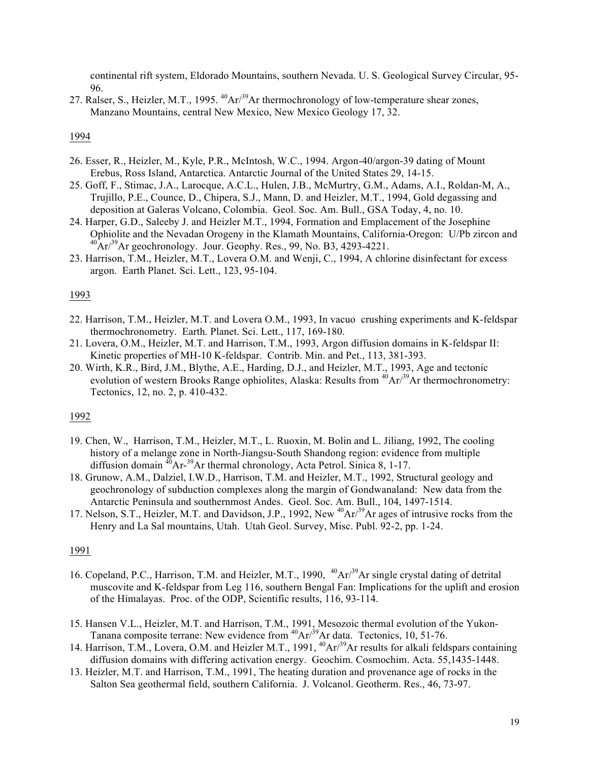continental rift system, Eldorado Mountains, southern Nevada. U. S. Geological Survey Circular, 95- 96.

27. Ralser, S., Heizler, M.T., 1995.  ${}^{40}Ar/{}^{39}Ar$  thermochronology of low-temperature shear zones, Manzano Mountains, central New Mexico, New Mexico Geology 17, 32.

### 1994

- 26. Esser, R., Heizler, M., Kyle, P.R., McIntosh, W.C., 1994. Argon-40/argon-39 dating of Mount Erebus, Ross Island, Antarctica. Antarctic Journal of the United States 29, 14-15.
- 25. Goff, F., Stimac, J.A., Larocque, A.C.L., Hulen, J.B., McMurtry, G.M., Adams, A.I., Roldan-M, A., Trujillo, P.E., Counce, D., Chipera, S.J., Mann, D. and Heizler, M.T., 1994, Gold degassing and deposition at Galeras Volcano, Colombia. Geol. Soc. Am. Bull., GSA Today, 4, no. 10.
- 24. Harper, G.D., Saleeby J. and Heizler M.T., 1994, Formation and Emplacement of the Josephine Ophiolite and the Nevadan Orogeny in the Klamath Mountains, California-Oregon: U/Pb zircon and  $^{40}Ar/^{39}Ar$  geochronology. Jour. Geophy. Res., 99, No. B3, 4293-4221.
- 23. Harrison, T.M., Heizler, M.T., Lovera O.M. and Wenji, C., 1994, A chlorine disinfectant for excess argon. Earth Planet. Sci. Lett., 123, 95-104.

### 1993

- 22. Harrison, T.M., Heizler, M.T. and Lovera O.M., 1993, In vacuo crushing experiments and K-feldspar thermochronometry. Earth. Planet. Sci. Lett., 117, 169-180.
- 21. Lovera, O.M., Heizler, M.T. and Harrison, T.M., 1993, Argon diffusion domains in K-feldspar II: Kinetic properties of MH-10 K-feldspar. Contrib. Min. and Pet., 113, 381-393.
- 20. Wirth, K.R., Bird, J.M., Blythe, A.E., Harding, D.J., and Heizler, M.T., 1993, Age and tectonic evolution of western Brooks Range ophiolites, Alaska: Results from  ${}^{40}Ar/{}^{39}Ar$  thermochronometry: Tectonics, 12, no. 2, p. 410-432.

#### 1992

- 19. Chen, W., Harrison, T.M., Heizler, M.T., L. Ruoxin, M. Bolin and L. Jiliang, 1992, The cooling history of a melange zone in North-Jiangsu-South Shandong region: evidence from multiple diffusion domain  $^{40}Ar^{-39}Ar$  thermal chronology, Acta Petrol. Sinica 8, 1-17.
- 18. Grunow, A.M., Dalziel, I.W.D., Harrison, T.M. and Heizler, M.T., 1992, Structural geology and geochronology of subduction complexes along the margin of Gondwanaland: New data from the Antarctic Peninsula and southernmost Andes. Geol. Soc. Am. Bull., 104, 1497-1514.
- 17. Nelson, S.T., Heizler, M.T. and Davidson, J.P., 1992, New <sup>40</sup>Ar/<sup>39</sup>Ar ages of intrusive rocks from the Henry and La Sal mountains, Utah. Utah Geol. Survey, Misc. Publ. 92-2, pp. 1-24.

- 16. Copeland, P.C., Harrison, T.M. and Heizler, M.T., 1990, <sup>40</sup>Ar<sup>39</sup>Ar single crystal dating of detrital muscovite and K-feldspar from Leg 116, southern Bengal Fan: Implications for the uplift and erosion of the Himalayas. Proc. of the ODP, Scientific results, 116, 93-114.
- 15. Hansen V.L., Heizler, M.T. and Harrison, T.M., 1991, Mesozoic thermal evolution of the Yukon-Tanana composite terrane: New evidence from <sup>40</sup>Ar/<sup>39</sup>Ar data. Tectonics, 10, 51-76.
- 14. Harrison, T.M., Lovera, O.M. and Heizler M.T., 1991, <sup>40</sup>Ar/<sup>39</sup>Ar results for alkali feldspars containing diffusion domains with differing activation energy. Geochim. Cosmochim. Acta. 55,1435-1448.
- 13. Heizler, M.T. and Harrison, T.M., 1991, The heating duration and provenance age of rocks in the Salton Sea geothermal field, southern California. J. Volcanol. Geotherm. Res., 46, 73-97.